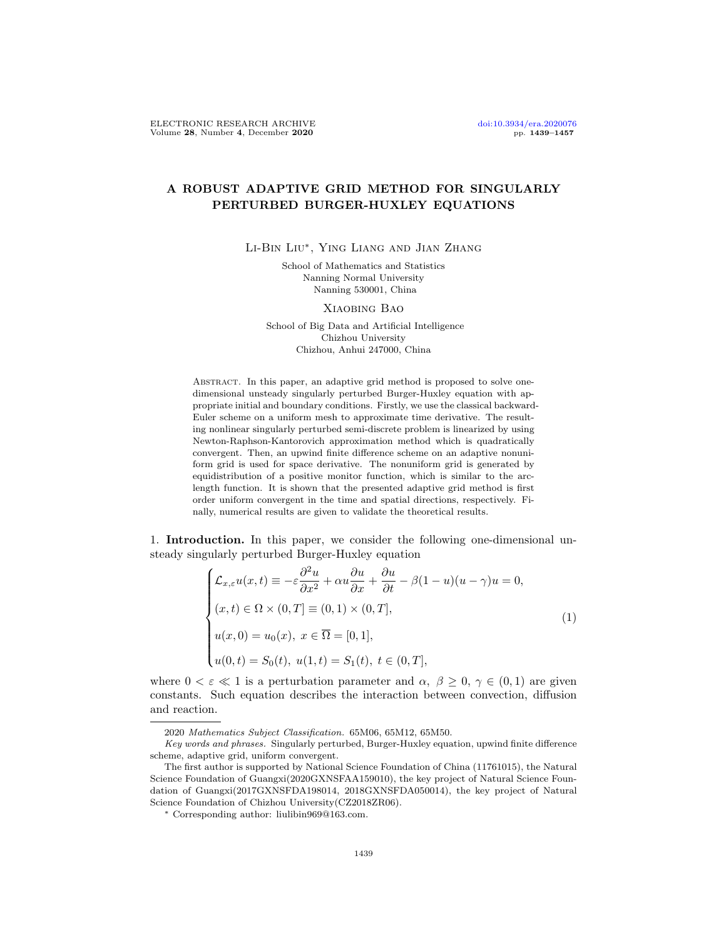# A ROBUST ADAPTIVE GRID METHOD FOR SINGULARLY PERTURBED BURGER-HUXLEY EQUATIONS

Li-Bin Liu∗ , Ying Liang and Jian Zhang

School of Mathematics and Statistics Nanning Normal University Nanning 530001, China

Xiaobing Bao

School of Big Data and Artificial Intelligence Chizhou University Chizhou, Anhui 247000, China

ABSTRACT. In this paper, an adaptive grid method is proposed to solve onedimensional unsteady singularly perturbed Burger-Huxley equation with appropriate initial and boundary conditions. Firstly, we use the classical backward-Euler scheme on a uniform mesh to approximate time derivative. The resulting nonlinear singularly perturbed semi-discrete problem is linearized by using Newton-Raphson-Kantorovich approximation method which is quadratically convergent. Then, an upwind finite difference scheme on an adaptive nonuniform grid is used for space derivative. The nonuniform grid is generated by equidistribution of a positive monitor function, which is similar to the arclength function. It is shown that the presented adaptive grid method is first order uniform convergent in the time and spatial directions, respectively. Finally, numerical results are given to validate the theoretical results.

1. Introduction. In this paper, we consider the following one-dimensional unsteady singularly perturbed Burger-Huxley equation

<span id="page-0-0"></span>
$$
\begin{cases}\n\mathcal{L}_{x,\varepsilon}u(x,t) \equiv -\varepsilon \frac{\partial^2 u}{\partial x^2} + \alpha u \frac{\partial u}{\partial x} + \frac{\partial u}{\partial t} - \beta (1-u)(u-\gamma)u = 0, \\
(x,t) \in \Omega \times (0,T] \equiv (0,1) \times (0,T], \\
u(x,0) = u_0(x), \ x \in \overline{\Omega} = [0,1], \\
u(0,t) = S_0(t), \ u(1,t) = S_1(t), \ t \in (0,T],\n\end{cases}
$$
\n(1)

where  $0 < \varepsilon \ll 1$  is a perturbation parameter and  $\alpha, \beta \geq 0, \gamma \in (0,1)$  are given constants. Such equation describes the interaction between convection, diffusion and reaction.

<sup>2020</sup> Mathematics Subject Classification. 65M06, 65M12, 65M50.

Key words and phrases. Singularly perturbed, Burger-Huxley equation, upwind finite difference scheme, adaptive grid, uniform convergent.

The first author is supported by National Science Foundation of China (11761015), the Natural Science Foundation of Guangxi(2020GXNSFAA159010), the key project of Natural Science Foundation of Guangxi(2017GXNSFDA198014, 2018GXNSFDA050014), the key project of Natural Science Foundation of Chizhou University(CZ2018ZR06).

<sup>∗</sup> Corresponding author: liulibin969@163.com.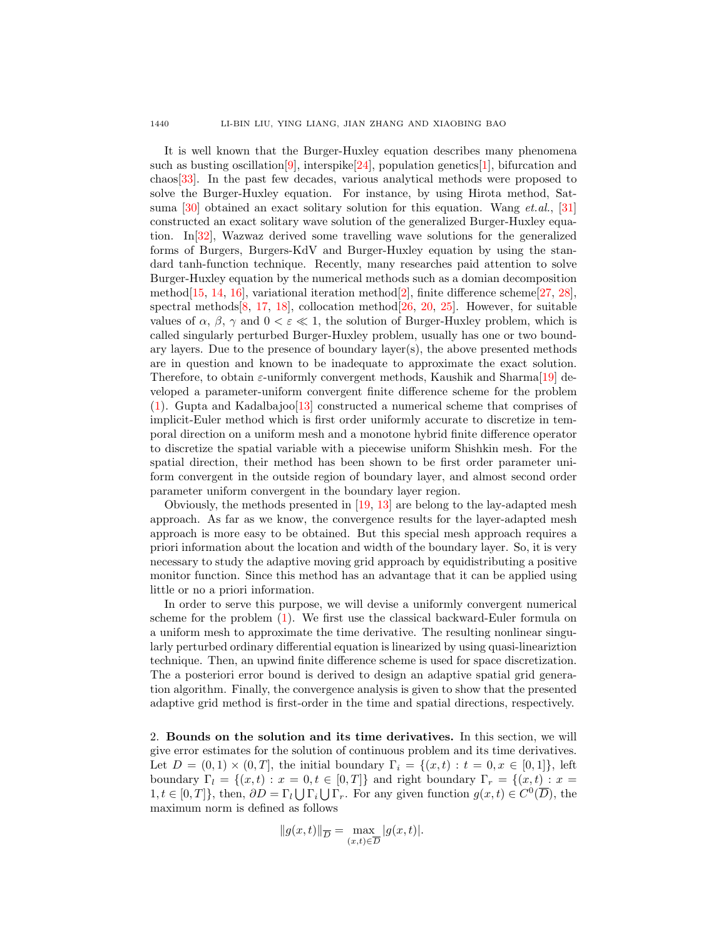It is well known that the Burger-Huxley equation describes many phenomena such as busting oscillation [\[9\]](#page-15-0), interspike [\[24\]](#page-17-0), population genetics [\[1\]](#page-15-1), bifurcation and chaos[\[33\]](#page-18-0). In the past few decades, various analytical methods were proposed to solve the Burger-Huxley equation. For instance, by using Hirota method, Sat-suma [\[30\]](#page-17-1) obtained an exact solitary solution for this equation. Wang  $et. al., [31]$  $et. al., [31]$ constructed an exact solitary wave solution of the generalized Burger-Huxley equation. In[\[32\]](#page-17-3), Wazwaz derived some travelling wave solutions for the generalized forms of Burgers, Burgers-KdV and Burger-Huxley equation by using the standard tanh-function technique. Recently, many researches paid attention to solve Burger-Huxley equation by the numerical methods such as a domian decomposition method $[15, 14, 16]$  $[15, 14, 16]$  $[15, 14, 16]$  $[15, 14, 16]$  $[15, 14, 16]$ , variational iteration method $[2]$ , finite difference scheme $[27, 28]$  $[27, 28]$  $[27, 28]$ , spectral methods  $[8, 17, 18]$  $[8, 17, 18]$  $[8, 17, 18]$  $[8, 17, 18]$  $[8, 17, 18]$ , collocation method  $[26, 20, 25]$  $[26, 20, 25]$  $[26, 20, 25]$  $[26, 20, 25]$  $[26, 20, 25]$ . However, for suitable values of  $\alpha$ ,  $\beta$ ,  $\gamma$  and  $0 < \varepsilon \ll 1$ , the solution of Burger-Huxley problem, which is called singularly perturbed Burger-Huxley problem, usually has one or two boundary layers. Due to the presence of boundary layer(s), the above presented methods are in question and known to be inadequate to approximate the exact solution. Therefore, to obtain  $\varepsilon$ -uniformly convergent methods, Kaushik and Sharma $[19]$  developed a parameter-uniform convergent finite difference scheme for the problem  $(1)$ . Gupta and Kadalbajoo<sup>[\[13\]](#page-17-15)</sup> constructed a numerical scheme that comprises of implicit-Euler method which is first order uniformly accurate to discretize in temporal direction on a uniform mesh and a monotone hybrid finite difference operator to discretize the spatial variable with a piecewise uniform Shishkin mesh. For the spatial direction, their method has been shown to be first order parameter uniform convergent in the outside region of boundary layer, and almost second order parameter uniform convergent in the boundary layer region.

Obviously, the methods presented in [\[19,](#page-17-14) [13\]](#page-17-15) are belong to the lay-adapted mesh approach. As far as we know, the convergence results for the layer-adapted mesh approach is more easy to be obtained. But this special mesh approach requires a priori information about the location and width of the boundary layer. So, it is very necessary to study the adaptive moving grid approach by equidistributing a positive monitor function. Since this method has an advantage that it can be applied using little or no a priori information.

In order to serve this purpose, we will devise a uniformly convergent numerical scheme for the problem [\(1\)](#page-0-0). We first use the classical backward-Euler formula on a uniform mesh to approximate the time derivative. The resulting nonlinear singularly perturbed ordinary differential equation is linearized by using quasi-lineariztion technique. Then, an upwind finite difference scheme is used for space discretization. The a posteriori error bound is derived to design an adaptive spatial grid generation algorithm. Finally, the convergence analysis is given to show that the presented adaptive grid method is first-order in the time and spatial directions, respectively.

2. Bounds on the solution and its time derivatives. In this section, we will give error estimates for the solution of continuous problem and its time derivatives. Let  $D = (0,1) \times (0,T]$ , the initial boundary  $\Gamma_i = \{(x,t) : t = 0, x \in [0,1]\}$ , left boundary  $\Gamma_l = \{(x, t) : x = 0, t \in [0, T]\}$  and right boundary  $\Gamma_r = \{(x, t) : x = 0\}$  $1, t \in [0, T]$ , then,  $\partial D = \Gamma_l \bigcup \Gamma_i \bigcup \Gamma_r$ . For any given function  $g(x, t) \in C^0(\overline{D})$ , the maximum norm is defined as follows

$$
||g(x,t)||_{\overline{D}} = \max_{(x,t)\in\overline{D}} |g(x,t)|.
$$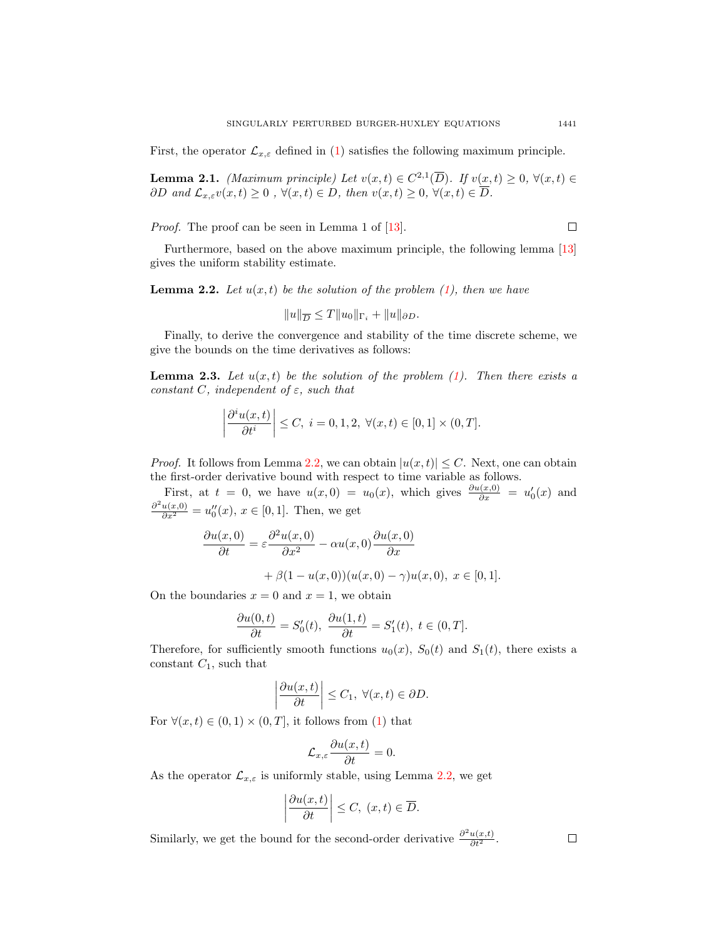First, the operator  $\mathcal{L}_{x,\varepsilon}$  defined in [\(1\)](#page-0-0) satisfies the following maximum principle.

**Lemma 2.1.** (Maximum principle) Let  $v(x,t) \in C^{2,1}(\overline{D})$ . If  $v(x,t) \geq 0$ ,  $\forall (x,t) \in$  $\partial D$  and  $\mathcal{L}_{x,\varepsilon}v(x,t) \geq 0$ ,  $\forall (x,t) \in D$ , then  $v(x,t) \geq 0$ ,  $\forall (x,t) \in \overline{D}$ .

*Proof.* The proof can be seen in Lemma 1 of [\[13\]](#page-17-15).

Furthermore, based on the above maximum principle, the following lemma [\[13\]](#page-17-15) gives the uniform stability estimate.

<span id="page-2-0"></span>**Lemma 2.2.** Let  $u(x,t)$  be the solution of the problem  $(1)$ , then we have

$$
||u||_{\overline{D}} \leq T||u_0||_{\Gamma_i} + ||u||_{\partial D}.
$$

Finally, to derive the convergence and stability of the time discrete scheme, we give the bounds on the time derivatives as follows:

**Lemma 2.3.** Let  $u(x,t)$  be the solution of the problem [\(1\)](#page-0-0). Then there exists a constant C, independent of  $\varepsilon$ , such that

$$
\left|\frac{\partial^i u(x,t)}{\partial t^i}\right| \le C, \ i = 0, 1, 2, \ \forall (x,t) \in [0,1] \times (0,T].
$$

*Proof.* It follows from Lemma [2.2,](#page-2-0) we can obtain  $|u(x,t)| \leq C$ . Next, one can obtain the first-order derivative bound with respect to time variable as follows.

First, at  $t = 0$ , we have  $u(x, 0) = u_0(x)$ , which gives  $\frac{\partial u(x,0)}{\partial x} = u'_0(x)$  and  $\frac{\partial^2 u(x,0)}{\partial x^2} = u_0''(x), x \in [0,1].$  Then, we get

$$
\frac{\partial u(x,0)}{\partial t} = \varepsilon \frac{\partial^2 u(x,0)}{\partial x^2} - \alpha u(x,0) \frac{\partial u(x,0)}{\partial x} \n+ \beta (1 - u(x,0))(u(x,0) - \gamma)u(x,0), \ x \in [0,1].
$$

On the boundaries  $x = 0$  and  $x = 1$ , we obtain

$$
\frac{\partial u(0,t)}{\partial t} = S'_0(t), \ \frac{\partial u(1,t)}{\partial t} = S'_1(t), \ t \in (0,T].
$$

Therefore, for sufficiently smooth functions  $u_0(x)$ ,  $S_0(t)$  and  $S_1(t)$ , there exists a constant  $C_1$ , such that

$$
\left|\frac{\partial u(x,t)}{\partial t}\right| \leq C_1, \ \forall (x,t) \in \partial D.
$$

For  $\forall (x, t) \in (0, 1) \times (0, T]$ , it follows from [\(1\)](#page-0-0) that

$$
\mathcal{L}_{x,\varepsilon} \frac{\partial u(x,t)}{\partial t} = 0.
$$

As the operator  $\mathcal{L}_{x,\varepsilon}$  is uniformly stable, using Lemma [2.2,](#page-2-0) we get

$$
\left|\frac{\partial u(x,t)}{\partial t}\right| \leq C, \ (x,t) \in \overline{D}.
$$

Similarly, we get the bound for the second-order derivative  $\frac{\partial^2 u(x,t)}{\partial t^2}$ .

 $\Box$ 

 $\Box$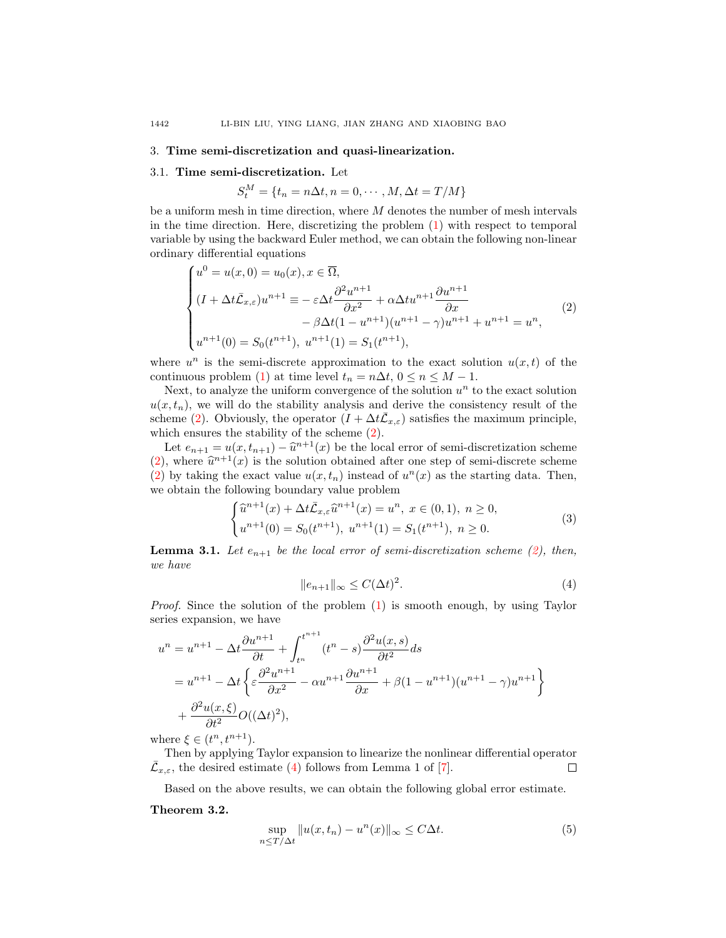## 3. Time semi-discretization and quasi-linearization.

#### 3.1. Time semi-discretization. Let

 $S_t^M = \{t_n = n\Delta t, n = 0, \cdots, M, \Delta t = T/M\}$ 

be a uniform mesh in time direction, where  $M$  denotes the number of mesh intervals in the time direction. Here, discretizing the problem [\(1\)](#page-0-0) with respect to temporal variable by using the backward Euler method, we can obtain the following non-linear ordinary differential equations

<span id="page-3-0"></span>
$$
\begin{cases}\nu^{0} = u(x, 0) = u_{0}(x), x \in \overline{\Omega}, \\
(I + \Delta t \bar{L}_{x,\varepsilon}) u^{n+1} = -\varepsilon \Delta t \frac{\partial^{2} u^{n+1}}{\partial x^{2}} + \alpha \Delta t u^{n+1} \frac{\partial u^{n+1}}{\partial x} \\
-\beta \Delta t (1 - u^{n+1}) (u^{n+1} - \gamma) u^{n+1} + u^{n+1} = u^{n}, \\
u^{n+1}(0) = S_{0}(t^{n+1}), u^{n+1}(1) = S_{1}(t^{n+1}),\n\end{cases} (2)
$$

where  $u^n$  is the semi-discrete approximation to the exact solution  $u(x,t)$  of the continuous problem [\(1\)](#page-0-0) at time level  $t_n = n\Delta t$ ,  $0 \le n \le M - 1$ .

Next, to analyze the uniform convergence of the solution  $u<sup>n</sup>$  to the exact solution  $u(x, t_n)$ , we will do the stability analysis and derive the consistency result of the scheme [\(2\)](#page-3-0). Obviously, the operator  $(I + \Delta t \bar{\mathcal{L}}_{x,\varepsilon})$  satisfies the maximum principle, which ensures the stability of the scheme [\(2\)](#page-3-0).

Let  $e_{n+1} = u(x, t_{n+1}) - \hat{u}^{n+1}(x)$  be the local error of semi-discretization scheme [\(2\)](#page-3-0), where  $\hat{u}^{n+1}(x)$  is the solution obtained after one step of semi-discrete scheme (2) by taking the exact value  $u(x, t)$  instead of  $u^n(x)$  as the starting data. Then [\(2\)](#page-3-0) by taking the exact value  $u(x, t_n)$  instead of  $u^n(x)$  as the starting data. Then, we obtain the following boundary value problem

$$
\begin{cases} \hat{u}^{n+1}(x) + \Delta t \bar{\mathcal{L}}_{x,\varepsilon} \hat{u}^{n+1}(x) = u^n, \ x \in (0,1), \ n \ge 0, \\ u^{n+1}(0) = S_0(t^{n+1}), \ u^{n+1}(1) = S_1(t^{n+1}), \ n \ge 0. \end{cases} \tag{3}
$$

**Lemma 3.1.** Let  $e_{n+1}$  be the local error of semi-discretization scheme [\(2\)](#page-3-0), then, we have

<span id="page-3-1"></span>
$$
||e_{n+1}||_{\infty} \le C(\Delta t)^2. \tag{4}
$$

Proof. Since the solution of the problem [\(1\)](#page-0-0) is smooth enough, by using Taylor series expansion, we have

$$
u^{n} = u^{n+1} - \Delta t \frac{\partial u^{n+1}}{\partial t} + \int_{t^{n}}^{t^{n+1}} (t^{n} - s) \frac{\partial^{2} u(x, s)}{\partial t^{2}} ds
$$
  
=  $u^{n+1} - \Delta t \left\{ \varepsilon \frac{\partial^{2} u^{n+1}}{\partial x^{2}} - \alpha u^{n+1} \frac{\partial u^{n+1}}{\partial x} + \beta (1 - u^{n+1}) (u^{n+1} - \gamma) u^{n+1} \right\}$   
+  $\frac{\partial^{2} u(x, \xi)}{\partial t^{2}} O((\Delta t)^{2}),$ 

where  $\xi \in (t^n, t^{n+1})$ .

Then by applying Taylor expansion to linearize the nonlinear differential operator  $\bar{\mathcal{L}}_{x,\varepsilon}$ , the desired estimate [\(4\)](#page-3-1) follows from Lemma 1 of [\[7\]](#page-15-4). □

Based on the above results, we can obtain the following global error estimate.

### Theorem 3.2.

$$
\sup_{n \le T/\Delta t} \|u(x, t_n) - u^n(x)\|_{\infty} \le C\Delta t.
$$
\n(5)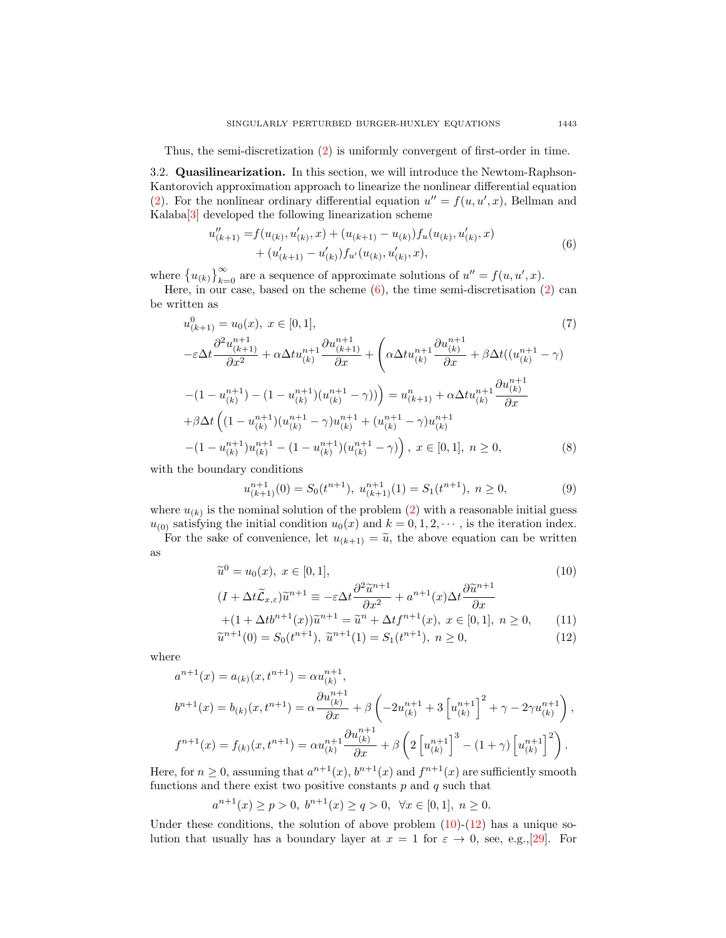Thus, the semi-discretization [\(2\)](#page-3-0) is uniformly convergent of first-order in time.

3.2. Quasilinearization. In this section, we will introduce the Newtom-Raphson-Kantorovich approximation approach to linearize the nonlinear differential equation [\(2\)](#page-3-0). For the nonlinear ordinary differential equation  $u'' = f(u, u', x)$ , Bellman and Kalaba[\[3\]](#page-15-5) developed the following linearization scheme

<span id="page-4-0"></span>
$$
u''_{(k+1)} = f(u_{(k)}, u'_{(k)}, x) + (u_{(k+1)} - u_{(k)})f_u(u_{(k)}, u'_{(k)}, x) + (u'_{(k+1)} - u'_{(k)})f_{u'}(u_{(k)}, u'_{(k)}, x),
$$
\n(6)

where  $\{u_{(k)}\}_{k=0}^{\infty}$  are a sequence of approximate solutions of  $u'' = f(u, u', x)$ .

Here, in our case, based on the scheme  $(6)$ , the time semi-discretisation  $(2)$  can be written as

$$
u_{(k+1)}^{0} = u_{0}(x), \ x \in [0, 1],
$$
\n
$$
-\varepsilon \Delta t \frac{\partial^{2} u_{(k+1)}^{n+1}}{\partial x^{2}} + \alpha \Delta t u_{(k)}^{n+1} \frac{\partial u_{(k+1)}^{n+1}}{\partial x} + \left(\alpha \Delta t u_{(k)}^{n+1} \frac{\partial u_{(k)}^{n+1}}{\partial x} + \beta \Delta t ((u_{(k)}^{n+1} - \gamma) - (1 - u_{(k)}^{n+1}) - (1 - u_{(k)}^{n+1}) (u_{(k)}^{n+1} - \gamma))\right) = u_{(k+1)}^{n} + \alpha \Delta t u_{(k)}^{n+1} \frac{\partial u_{(k)}^{n+1}}{\partial x}
$$
\n
$$
+ \beta \Delta t \left((1 - u_{(k)}^{n+1})(u_{(k)}^{n+1} - \gamma)u_{(k)}^{n+1} + (u_{(k)}^{n+1} - \gamma)u_{(k)}^{n+1} - (1 - u_{(k)}^{n+1})u_{(k)}^{n+1} - (1 - u_{(k)}^{n+1}) (u_{(k)}^{n+1} - \gamma)\right), \ x \in [0, 1], \ n \ge 0,
$$
\n(8)

with the boundary conditions

$$
u_{(k+1)}^{n+1}(0) = S_0(t^{n+1}), \ u_{(k+1)}^{n+1}(1) = S_1(t^{n+1}), \ n \ge 0,
$$
\n<sup>(9)</sup>

where  $u_{(k)}$  is the nominal solution of the problem [\(2\)](#page-3-0) with a reasonable initial guess  $u_{(0)}$  satisfying the initial condition  $u_0(x)$  and  $k = 0, 1, 2, \cdots$ , is the iteration index.

For the sake of convenience, let  $u_{(k+1)} = \tilde{u}$ , the above equation can be written as

<span id="page-4-1"></span>
$$
\tilde{u}^{0} = u_{0}(x), \ x \in [0, 1],
$$
\n
$$
(10)
$$
\n
$$
(I + \Delta t \tilde{\mathcal{L}}_{x,\varepsilon}) \tilde{u}^{n+1} \equiv -\varepsilon \Delta t \frac{\partial^{2} \tilde{u}^{n+1}}{\partial x^{2}} + a^{n+1}(x) \Delta t \frac{\partial \tilde{u}^{n+1}}{\partial x}
$$
\n
$$
+ (1 + \Delta t b^{n+1}(x)) \tilde{u}^{n+1} = \tilde{u}^{n} + \Delta t f^{n+1}(x), \ x \in [0, 1], \ n \ge 0,
$$
\n
$$
\tilde{u}^{n+1}(0) = S_{0}(t^{n+1}), \ \tilde{u}^{n+1}(1) = S_{1}(t^{n+1}), \ n \ge 0,
$$
\n
$$
(12)
$$

where

$$
a^{n+1}(x) = a_{(k)}(x, t^{n+1}) = \alpha u_{(k)}^{n+1},
$$
  
\n
$$
b^{n+1}(x) = b_{(k)}(x, t^{n+1}) = \alpha \frac{\partial u_{(k)}^{n+1}}{\partial x} + \beta \left( -2u_{(k)}^{n+1} + 3 \left[ u_{(k)}^{n+1} \right]^2 + \gamma - 2\gamma u_{(k)}^{n+1} \right),
$$
  
\n
$$
f^{n+1}(x) = f_{(k)}(x, t^{n+1}) = \alpha u_{(k)}^{n+1} \frac{\partial u_{(k)}^{n+1}}{\partial x} + \beta \left( 2 \left[ u_{(k)}^{n+1} \right]^3 - (1 + \gamma) \left[ u_{(k)}^{n+1} \right]^2 \right).
$$

Here, for  $n \geq 0$ , assuming that  $a^{n+1}(x)$ ,  $b^{n+1}(x)$  and  $f^{n+1}(x)$  are sufficiently smooth functions and there exist two positive constants  $p$  and  $q$  such that

 $a^{n+1}(x) \ge p > 0, b^{n+1}(x) \ge q > 0, \forall x \in [0,1], n \ge 0.$ 

Under these conditions, the solution of above problem  $(10)-(12)$  $(10)-(12)$  has a unique solution that usually has a boundary layer at  $x = 1$  for  $\varepsilon \to 0$ , see, e.g., [\[29\]](#page-17-16). For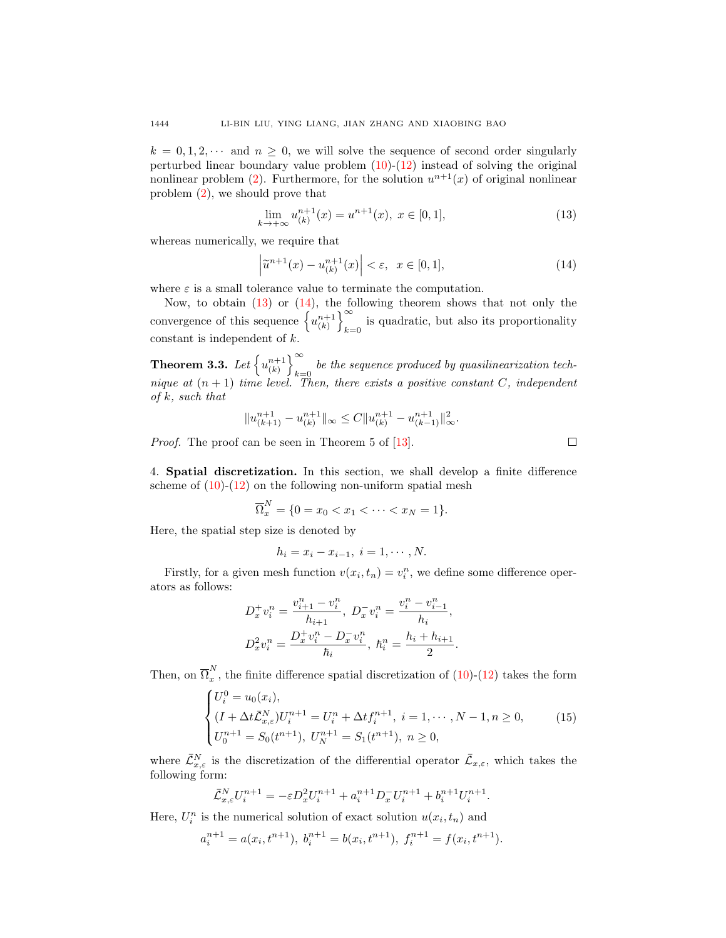$k = 0, 1, 2, \cdots$  and  $n \geq 0$ , we will solve the sequence of second order singularly perturbed linear boundary value problem  $(10)-(12)$  $(10)-(12)$  instead of solving the original nonlinear problem [\(2\)](#page-3-0). Furthermore, for the solution  $u^{n+1}(x)$  of original nonlinear problem [\(2\)](#page-3-0), we should prove that

<span id="page-5-0"></span>
$$
\lim_{k \to +\infty} u_{(k)}^{n+1}(x) = u^{n+1}(x), \ x \in [0, 1], \tag{13}
$$

whereas numerically, we require that

<span id="page-5-1"></span>
$$
\left|\tilde{u}^{n+1}(x) - u_{(k)}^{n+1}(x)\right| < \varepsilon, \ \ x \in [0, 1],\tag{14}
$$

where  $\varepsilon$  is a small tolerance value to terminate the computation.

Now, to obtain  $(13)$  or  $(14)$ , the following theorem shows that not only the convergence of this sequence  $\left\{ u_{k}^{n+1} \right\}_{k=1}^{\infty}$ is quadratic, but also its proportionality  $k=0$ constant is independent of  $k$ .

<span id="page-5-3"></span>**Theorem 3.3.** Let  $\left\{u_{(k)}^{n+1}\right\}_{k=1}^{\infty}$ be the sequence produced by quasilinearization tech-<br> $k=0$ nique at  $(n + 1)$  time level. Then, there exists a positive constant C, independent of  $k$ , such that

$$
||u_{(k+1)}^{n+1} - u_{(k)}^{n+1}||_{\infty} \leq C||u_{(k)}^{n+1} - u_{(k-1)}^{n+1}||_{\infty}^2.
$$

*Proof.* The proof can be seen in Theorem 5 of [\[13\]](#page-17-15).

4. Spatial discretization. In this section, we shall develop a finite difference scheme of  $(10)-(12)$  $(10)-(12)$  on the following non-uniform spatial mesh

$$
\overline{\Omega}_x^N = \{ 0 = x_0 < x_1 < \dots < x_N = 1 \}.
$$

Here, the spatial step size is denoted by

$$
h_i = x_i - x_{i-1}, \ i = 1, \cdots, N.
$$

Firstly, for a given mesh function  $v(x_i, t_n) = v_i^n$ , we define some difference operators as follows:

$$
D_x^+ v_i^n = \frac{v_{i+1}^n - v_i^n}{h_{i+1}}, \ D_x^- v_i^n = \frac{v_i^n - v_{i-1}^n}{h_i},
$$
  

$$
D_x^2 v_i^n = \frac{D_x^+ v_i^n - D_x^- v_i^n}{h_i}, \ h_i^n = \frac{h_i + h_{i+1}}{2}.
$$

Then, on  $\overline{\Omega}_x^N$  $x$ , the finite difference spatial discretization of  $(10)$ - $(12)$  takes the form

<span id="page-5-2"></span>
$$
\begin{cases}\nU_i^0 = u_0(x_i), \\
(I + \Delta t \bar{\mathcal{L}}_{x,\varepsilon}^N) U_i^{n+1} = U_i^n + \Delta t f_i^{n+1}, \ i = 1, \cdots, N-1, n \ge 0, \\
U_0^{n+1} = S_0(t^{n+1}), \ U_N^{n+1} = S_1(t^{n+1}), \ n \ge 0,\n\end{cases} \tag{15}
$$

where  $\bar{\mathcal{L}}_{x,\varepsilon}^{N}$  is the discretization of the differential operator  $\bar{\mathcal{L}}_{x,\varepsilon}$ , which takes the following form:

$$
\bar{\mathcal{L}}_{x,\varepsilon}^N U_i^{n+1} = -\varepsilon D_x^2 U_i^{n+1} + a_i^{n+1} D_x^{-} U_i^{n+1} + b_i^{n+1} U_i^{n+1}.
$$

Here,  $U_i^n$  is the numerical solution of exact solution  $u(x_i, t_n)$  and

$$
a_i^{n+1} = a(x_i, t^{n+1}), b_i^{n+1} = b(x_i, t^{n+1}), f_i^{n+1} = f(x_i, t^{n+1}).
$$

 $\Box$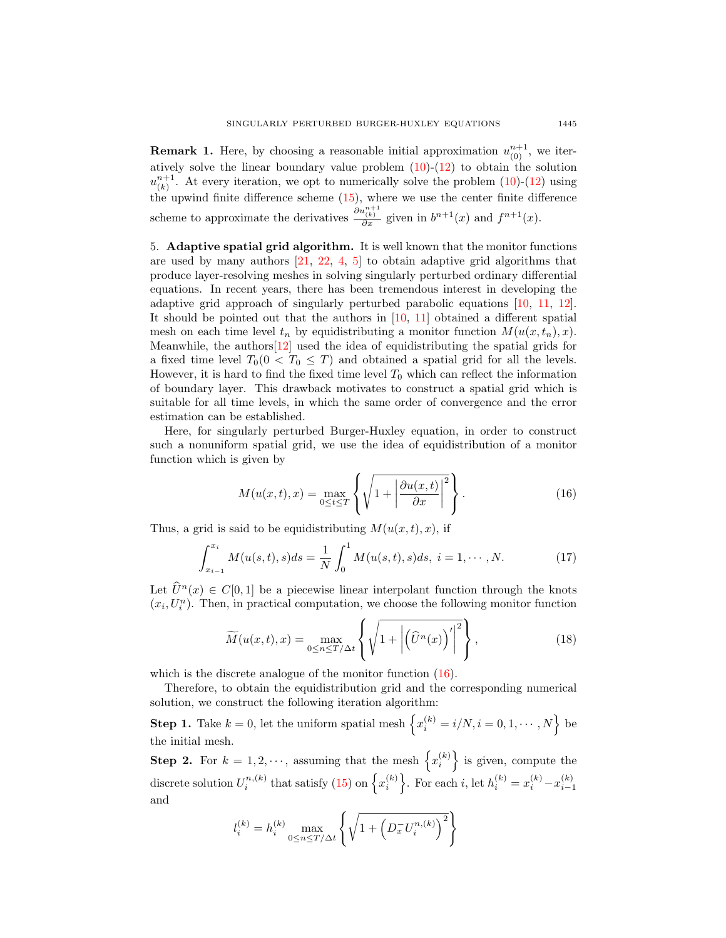**Remark 1.** Here, by choosing a reasonable initial approximation  $u_{(0)}^{n+1}$ , we iteratively solve the linear boundary value problem  $(10)-(12)$  $(10)-(12)$  to obtain the solution  $u_{(k)}^{n+1}$ . At every iteration, we opt to numerically solve the problem [\(10\)](#page-4-1)-[\(12\)](#page-4-1) using the upwind finite difference scheme [\(15\)](#page-5-2), where we use the center finite difference scheme to approximate the derivatives  $\frac{\partial u_{(k)}^{n+1}}{\partial x}$  given in  $b^{n+1}(x)$  and  $f^{n+1}(x)$ .

5. Adaptive spatial grid algorithm. It is well known that the monitor functions are used by many authors  $[21, 22, 4, 5]$  $[21, 22, 4, 5]$  $[21, 22, 4, 5]$  $[21, 22, 4, 5]$  $[21, 22, 4, 5]$  $[21, 22, 4, 5]$  to obtain adaptive grid algorithms that produce layer-resolving meshes in solving singularly perturbed ordinary differential equations. In recent years, there has been tremendous interest in developing the adaptive grid approach of singularly perturbed parabolic equations [\[10,](#page-17-19) [11,](#page-17-20) [12\]](#page-17-21). It should be pointed out that the authors in [\[10,](#page-17-19) [11\]](#page-17-20) obtained a different spatial mesh on each time level  $t_n$  by equidistributing a monitor function  $M(u(x, t_n), x)$ . Meanwhile, the authors  $[12]$  used the idea of equidistributing the spatial grids for a fixed time level  $T_0(0 < T_0 \leq T)$  and obtained a spatial grid for all the levels. However, it is hard to find the fixed time level  $T_0$  which can reflect the information of boundary layer. This drawback motivates to construct a spatial grid which is suitable for all time levels, in which the same order of convergence and the error estimation can be established.

Here, for singularly perturbed Burger-Huxley equation, in order to construct such a nonuniform spatial grid, we use the idea of equidistribution of a monitor function which is given by

<span id="page-6-0"></span>
$$
M(u(x,t),x) = \max_{0 \le t \le T} \left\{ \sqrt{1 + \left| \frac{\partial u(x,t)}{\partial x} \right|^2} \right\}.
$$
 (16)

Thus, a grid is said to be equidistributing  $M(u(x, t), x)$ , if

$$
\int_{x_{i-1}}^{x_i} M(u(s,t),s)ds = \frac{1}{N} \int_0^1 M(u(s,t),s)ds, \ i = 1, \cdots, N. \tag{17}
$$

Let  $\hat{U}^n(x) \in C[0,1]$  be a piecewise linear interpolant function through the knots  $(x_i, U_i^n)$ . Then, in practical computation, we choose the following monitor function

$$
\widetilde{M}(u(x,t),x) = \max_{0 \le n \le T/\Delta t} \left\{ \sqrt{1 + \left| \left( \widehat{U}^n(x) \right)' \right|^2} \right\},\tag{18}
$$

which is the discrete analogue of the monitor function  $(16)$ .

Therefore, to obtain the equidistribution grid and the corresponding numerical solution, we construct the following iteration algorithm:

**Step 1.** Take  $k = 0$ , let the uniform spatial mesh  $\left\{ x_i^{(k)} = i/N, i = 0, 1, \cdots, N \right\}$  be the initial mesh.

**Step 2.** For  $k = 1, 2, \dots$ , assuming that the mesh  $\{x_i^{(k)}\}$  is given, compute the discrete solution  $U_i^{n,(k)}$  that satisfy [\(15\)](#page-5-2) on  $\left\{x_i^{(k)}\right\}$ . For each i, let  $h_i^{(k)} = x_i^{(k)} - x_{i-1}^{(k)}$ and

$$
l_i^{(k)} = h_i^{(k)} \max_{0 \le n \le T/\Delta t} \left\{ \sqrt{1 + \left( D_x^{-} U_i^{(k)} \right)^2} \right\}
$$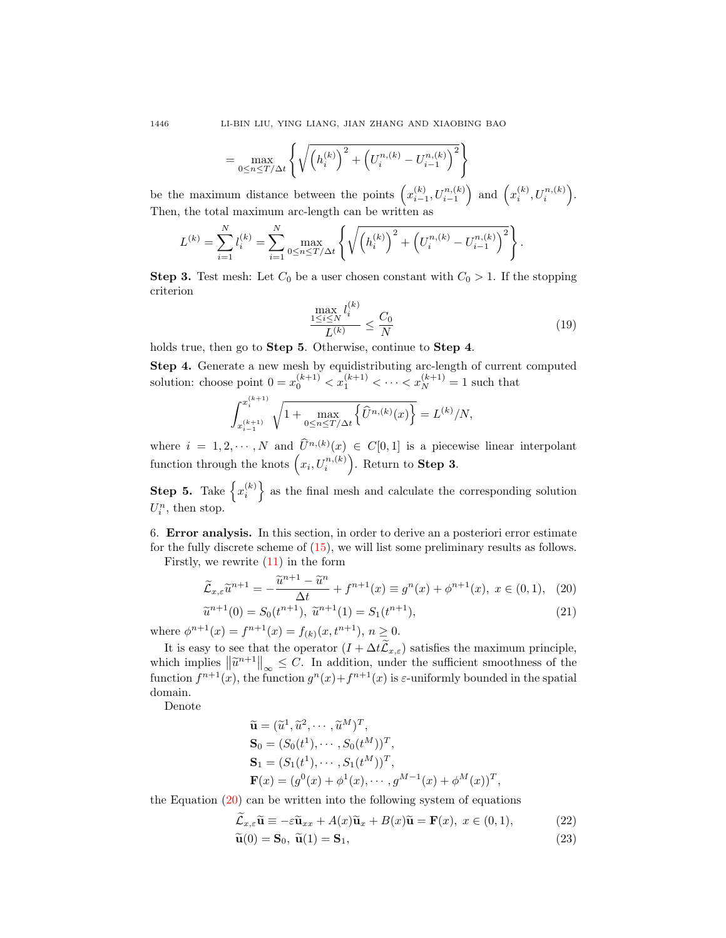$$
= \max_{0 \le n \le T/\Delta t} \left\{ \sqrt{\left(h_i^{(k)}\right)^2 + \left(U_i^{(k)} - U_{i-1}^{(k)}\right)^2} \right\}
$$

be the maximum distance between the points  $\left(x_{i-1}^{(k)}, U_{i-1}^{n,(k)}\right)$  and  $\left(x_i^{(k)}, U_i^{n,(k)}\right)$ . Then, the total maximum arc-length can be written as

$$
L^{(k)} = \sum_{i=1}^{N} l_i^{(k)} = \sum_{i=1}^{N} \max_{0 \le n \le T/\Delta t} \left\{ \sqrt{\left(h_i^{(k)}\right)^2 + \left(U_i^{(n)} - U_{i-1}^{(n)}\right)^2} \right\}.
$$

**Step 3.** Test mesh: Let  $C_0$  be a user chosen constant with  $C_0 > 1$ . If the stopping criterion

<span id="page-7-2"></span>
$$
\frac{\max_{1 \le i \le N} l_i^{(k)}}{L^{(k)}} \le \frac{C_0}{N}
$$
\n
$$
(19)
$$

holds true, then go to **Step 5**. Otherwise, continue to **Step 4**.

Step 4. Generate a new mesh by equidistributing arc-length of current computed solution: choose point  $0 = x_0^{(k+1)} < x_1^{(k+1)} < \cdots < x_N^{(k+1)} = 1$  such that

$$
\int_{x_{i-1}^{(k+1)}}^{x_i^{(k+1)}} \sqrt{1+\max_{0\leq n\leq T/\Delta t}\left\{\widehat{U}^{n,(k)}(x)\right\}}=L^{(k)}/N,
$$

where  $i = 1, 2, \dots, N$  and  $\hat{U}^{n,(k)}(x) \in C[0,1]$  is a piecewise linear interpolant function through the knots  $\left(x_i, U_i^{n,(k)}\right)$ . Return to **Step 3**.

**Step 5.** Take  $\{x_i^{(k)}\}$  as the final mesh and calculate the corresponding solution  $U_i^n$ , then stop.

6. Error analysis. In this section, in order to derive an a posteriori error estimate for the fully discrete scheme of [\(15\)](#page-5-2), we will list some preliminary results as follows.

Firstly, we rewrite  $(11)$  in the form

<span id="page-7-0"></span>
$$
\widetilde{\mathcal{L}}_{x,\varepsilon} \widetilde{u}^{n+1} = -\frac{\widetilde{u}^{n+1} - \widetilde{u}^n}{\Delta t} + f^{n+1}(x) \equiv g^n(x) + \phi^{n+1}(x), \ x \in (0,1), \tag{20}
$$

$$
\widetilde{u}^{n+1}(0) = S_0(t^{n+1}), \ \widetilde{u}^{n+1}(1) = S_1(t^{n+1}),\tag{21}
$$

where  $\phi^{n+1}(x) = f^{n+1}(x) = f_{(k)}(x, t^{n+1}), n \ge 0.$ 

It is easy to see that the operator  $(I + \Delta t \mathcal{L}_{x,\varepsilon})$  satisfies the maximum principle, which implies  $\left\| \tilde{u}^{n+1} \right\|_{\infty} \leq C$ . In addition, under the sufficient smoothness of the function  $f^{n+1}(\infty)$  the function  $g^{n}(\infty)$  of  $f^{n+1}(\infty)$  is a uniformly hounded in the gratial function  $f^{n+1}(x)$ , the function  $g^{n}(x)+f^{n+1}(x)$  is  $\varepsilon$ -uniformly bounded in the spatial domain.

Denote

$$
\tilde{\mathbf{u}} = (\tilde{u}^1, \tilde{u}^2, \cdots, \tilde{u}^M)^T, \n\mathbf{S}_0 = (S_0(t^1), \cdots, S_0(t^M))^T, \n\mathbf{S}_1 = (S_1(t^1), \cdots, S_1(t^M))^T, \n\mathbf{F}(x) = (g^0(x) + \phi^1(x), \cdots, g^{M-1}(x) + \phi^M(x))^T
$$

the Equation  $(20)$  can be written into the following system of equations

<span id="page-7-1"></span>
$$
\mathcal{L}_{x,\varepsilon}\widetilde{\mathbf{u}} \equiv -\varepsilon \widetilde{\mathbf{u}}_{xx} + A(x)\widetilde{\mathbf{u}}_x + B(x)\widetilde{\mathbf{u}} = \mathbf{F}(x), \ x \in (0,1),\tag{22}
$$

,

$$
\widetilde{\mathbf{u}}(0) = \mathbf{S}_0, \ \widetilde{\mathbf{u}}(1) = \mathbf{S}_1,\tag{23}
$$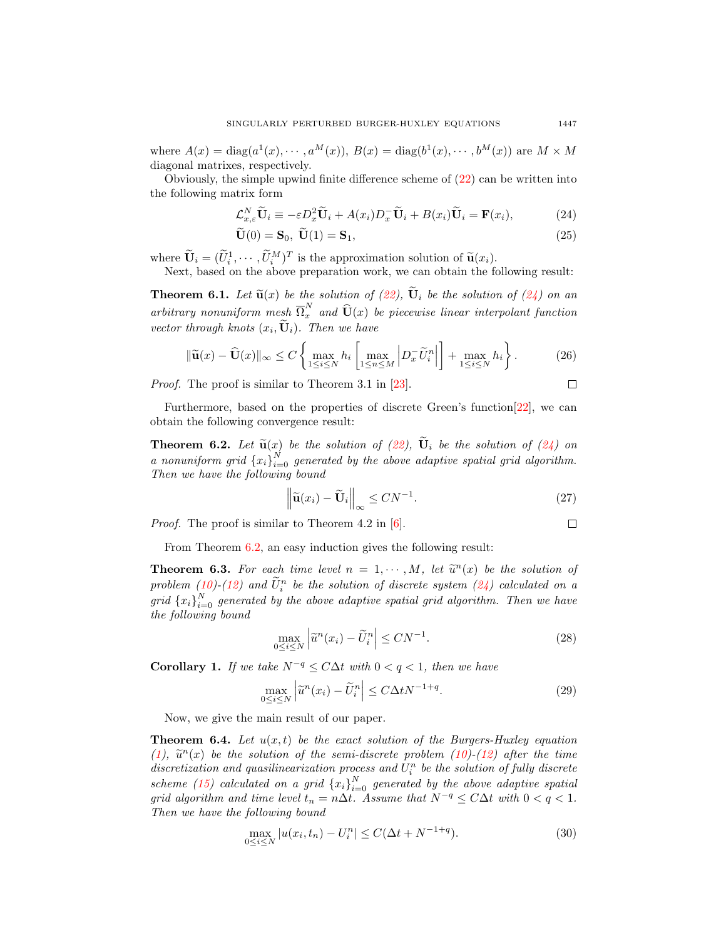where  $A(x) = \text{diag}(a^1(x), \dots, a^M(x)), B(x) = \text{diag}(b^1(x), \dots, b^M(x))$  are  $M \times M$ diagonal matrixes, respectively.

Obviously, the simple upwind finite difference scheme of [\(22\)](#page-7-1) can be written into the following matrix form

<span id="page-8-0"></span>
$$
\mathcal{L}_{x,\varepsilon}^{N}\widetilde{\mathbf{U}}_{i} \equiv -\varepsilon D_{x}^{2}\widetilde{\mathbf{U}}_{i} + A(x_{i})D_{x}^{-}\widetilde{\mathbf{U}}_{i} + B(x_{i})\widetilde{\mathbf{U}}_{i} = \mathbf{F}(x_{i}),
$$
\n(24)

$$
\mathbf{U}(0) = \mathbf{S}_0, \ \mathbf{U}(1) = \mathbf{S}_1,\tag{25}
$$

where  $\widetilde{\mathbf{U}}_i = (\widetilde{U}_i^1, \cdots, \widetilde{U}_i^M)^T$  is the approximation solution of  $\widetilde{\mathbf{u}}(x_i)$ .<br>Not be beed on the above preparation work, we can obtain the fa

Next, based on the above preparation work, we can obtain the following result:

**Theorem 6.1.** Let  $\tilde{\mathbf{u}}(x)$  be the solution of  $(22)$ ,  $\mathbf{U}_i$  be the solution of  $(24)$  on an arbitrary nonuniform mesh  $\overline{\Omega}^N_x$  and  $\widehat{U}(x)$  be piecewise linear interpolant function vector through knots  $(x_i, \mathbf{U}_i)$ . Then we have

$$
\|\widetilde{\mathbf{u}}(x) - \widehat{\mathbf{U}}(x)\|_{\infty} \le C \left\{ \max_{1 \le i \le N} h_i \left[ \max_{1 \le n \le M} \left| D_x^{-} \widetilde{U}_i^{n} \right| \right] + \max_{1 \le i \le N} h_i \right\}.
$$
 (26)

*Proof.* The proof is similar to Theorem 3.1 in [\[23\]](#page-17-22).

Furthermore, based on the properties of discrete Green's function
$$
[22]
$$
, we can obtain the following convergence result:

<span id="page-8-1"></span>**Theorem 6.2.** Let  $\tilde{\mathbf{u}}(x)$  be the solution of [\(22\)](#page-7-1),  $\tilde{\mathbf{U}}_i$  be the solution of [\(24\)](#page-8-0) on a nonuniform grid  ${x_i}_{i=0}^N$  generated by the above adaptive spatial grid algorithm. Then we have the following bound

$$
\left\| \widetilde{\mathbf{u}}(x_i) - \widetilde{\mathbf{U}}_i \right\|_{\infty} \leq CN^{-1}.
$$
 (27)

*Proof.* The proof is similar to Theorem 4.2 in [\[6\]](#page-15-8).

From Theorem [6.2,](#page-8-1) an easy induction gives the following result:

**Theorem 6.3.** For each time level  $n = 1, \dots, M$ , let  $\tilde{u}^n(x)$  be the solution of  $n \text{ real form } (40)$  (10) (10) and  $\tilde{u}^n$  be the solution of discrete system  $(91)$  coloridated an a problem [\(10\)](#page-4-1)-[\(12\)](#page-4-1) and  $\tilde{U}_i^n$  be the solution of discrete system [\(24\)](#page-8-0) calculated on a grid  ${x_i}_{i=0}^N$  generated by the above adaptive spatial grid algorithm. Then we have the following bound

$$
\max_{0 \le i \le N} \left| \tilde{u}^n(x_i) - \tilde{U}_i^n \right| \le CN^{-1}.
$$
\n(28)

<span id="page-8-2"></span>Corollary 1. If we take  $N^{-q} \le C\Delta t$  with  $0 < q < 1$ , then we have

$$
\max_{0 \le i \le N} \left| \tilde{u}^n(x_i) - \tilde{U}_i^n \right| \le C\Delta t N^{-1+q}.\tag{29}
$$

Now, we give the main result of our paper.

**Theorem 6.4.** Let  $u(x, t)$  be the exact solution of the Burgers-Huxley equation [\(1\)](#page-0-0),  $\tilde{u}^n(x)$  be the solution of the semi-discrete problem [\(10\)](#page-4-1)-[\(12\)](#page-4-1) after the time<br>discretization and quasilinearization process and  $U^n$  be the solution of fully discrete discretization and quasilinearization process and  $U_i^n$  be the solution of fully discrete scheme [\(15\)](#page-5-2) calculated on a grid  ${x_i}_{i=0}^N$  generated by the above adaptive spatial grid algorithm and time level  $t_n = n\Delta t$ . Assume that  $N^{-q} \le C\Delta t$  with  $0 < q < 1$ . Then we have the following bound

<span id="page-8-3"></span>
$$
\max_{0 \le i \le N} |u(x_i, t_n) - U_i^n| \le C(\Delta t + N^{-1+q}).\tag{30}
$$

 $\Box$ 

 $\Box$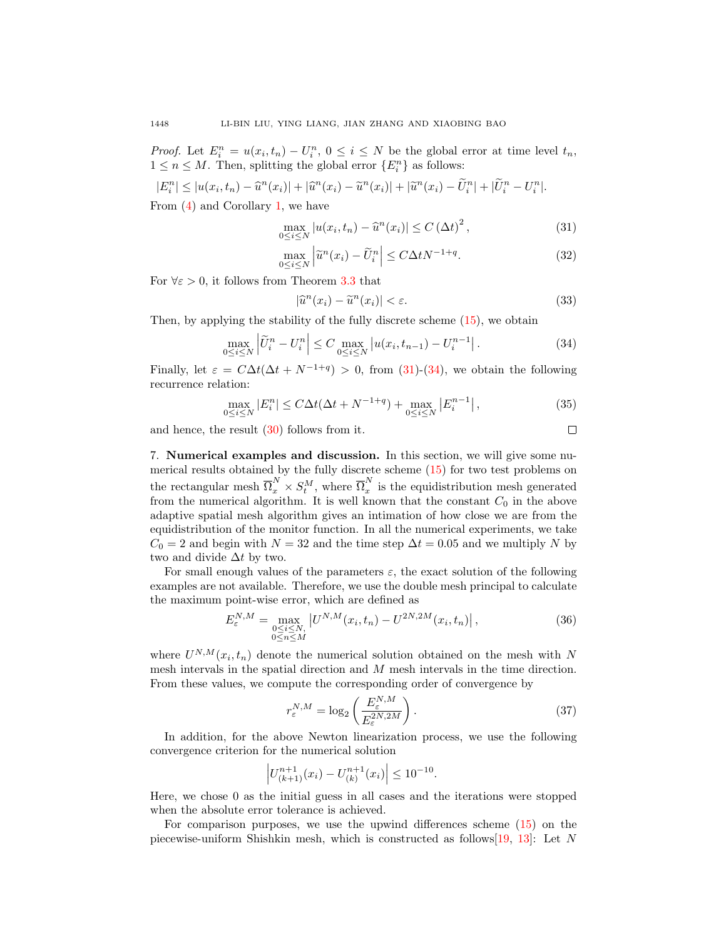*Proof.* Let  $E_i^n = u(x_i, t_n) - U_i^n$ ,  $0 \le i \le N$  be the global error at time level  $t_n$ ,  $1 \leq n \leq M$ . Then, splitting the global error  $\{E_i^n\}$  as follows:

$$
|E_i^n| \le |u(x_i, t_n) - \widehat{u}^n(x_i)| + |\widehat{u}^n(x_i) - \widetilde{u}^n(x_i)| + |\widetilde{u}^n(x_i) - \widetilde{U}_i^n| + |\widetilde{U}_i^n - U_i^n|.
$$

From [\(4\)](#page-3-1) and Corollary [1,](#page-8-2) we have

<span id="page-9-0"></span>
$$
\max_{0 \le i \le N} |u(x_i, t_n) - \widehat{u}^n(x_i)| \le C (\Delta t)^2, \qquad (31)
$$

$$
\max_{0 \le i \le N} \left| \tilde{u}^n(x_i) - \tilde{U}_i^n \right| \le C \Delta t N^{-1+q}.
$$
\n(32)

For  $\forall \varepsilon > 0$ , it follows from Theorem [3.3](#page-5-3) that

$$
|\hat{u}^n(x_i) - \tilde{u}^n(x_i)| < \varepsilon. \tag{33}
$$

 $\Box$ 

Then, by applying the stability of the fully discrete scheme [\(15\)](#page-5-2), we obtain

<span id="page-9-1"></span>
$$
\max_{0 \le i \le N} \left| \tilde{U}_i^n - U_i^n \right| \le C \max_{0 \le i \le N} \left| u(x_i, t_{n-1}) - U_i^{n-1} \right|.
$$
 (34)

Finally, let  $\varepsilon = C\Delta t(\Delta t + N^{-1+q}) > 0$ , from [\(31\)](#page-9-0)-[\(34\)](#page-9-1), we obtain the following recurrence relation:

$$
\max_{0 \le i \le N} |E_i^n| \le C\Delta t (\Delta t + N^{-1+q}) + \max_{0 \le i \le N} |E_i^{n-1}|,\tag{35}
$$

and hence, the result [\(30\)](#page-8-3) follows from it.

7. Numerical examples and discussion. In this section, we will give some numerical results obtained by the fully discrete scheme [\(15\)](#page-5-2) for two test problems on the rectangular mesh  $\overline{\Omega}_x^N \times S_t^M$ , where  $\overline{\Omega}_x^N$  $\int_{x}^{\infty}$  is the equidistribution mesh generated from the numerical algorithm. It is well known that the constant  $C_0$  in the above adaptive spatial mesh algorithm gives an intimation of how close we are from the equidistribution of the monitor function. In all the numerical experiments, we take  $C_0 = 2$  and begin with  $N = 32$  and the time step  $\Delta t = 0.05$  and we multiply N by two and divide  $\Delta t$  by two.

For small enough values of the parameters  $\varepsilon$ , the exact solution of the following examples are not available. Therefore, we use the double mesh principal to calculate the maximum point-wise error, which are defined as

$$
E_{\varepsilon}^{N,M} = \max_{\substack{0 \le i \le N, \\ 0 \le n \le M}} \left| U^{N,M}(x_i, t_n) - U^{2N,2M}(x_i, t_n) \right|, \tag{36}
$$

where  $U^{N,M}(x_i, t_n)$  denote the numerical solution obtained on the mesh with N mesh intervals in the spatial direction and M mesh intervals in the time direction. From these values, we compute the corresponding order of convergence by

$$
r_{\varepsilon}^{N,M} = \log_2\left(\frac{E_{\varepsilon}^{N,M}}{E_{\varepsilon}^{2N,2M}}\right). \tag{37}
$$

In addition, for the above Newton linearization process, we use the following convergence criterion for the numerical solution

$$
\left| U_{(k+1)}^{n+1}(x_i) - U_{(k)}^{n+1}(x_i) \right| \le 10^{-10}.
$$

Here, we chose 0 as the initial guess in all cases and the iterations were stopped when the absolute error tolerance is achieved.

For comparison purposes, we use the upwind differences scheme [\(15\)](#page-5-2) on the piecewise-uniform Shishkin mesh, which is constructed as follows[\[19,](#page-17-14) [13\]](#page-17-15): Let N

$$
1448\\
$$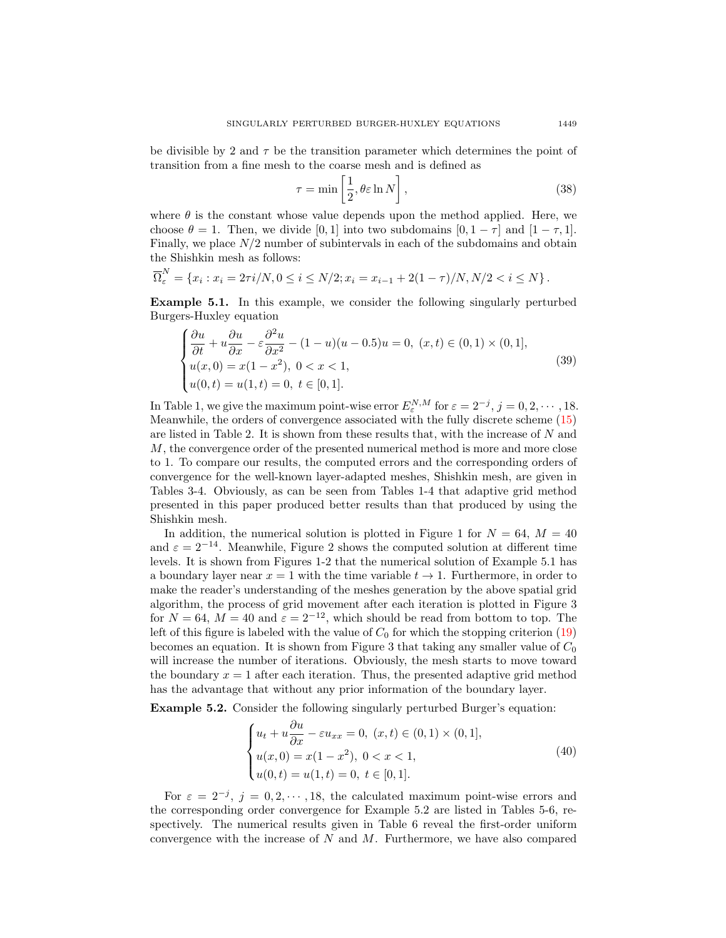be divisible by 2 and  $\tau$  be the transition parameter which determines the point of transition from a fine mesh to the coarse mesh and is defined as

$$
\tau = \min\left[\frac{1}{2}, \theta \varepsilon \ln N\right],\tag{38}
$$

where  $\theta$  is the constant whose value depends upon the method applied. Here, we choose  $\theta = 1$ . Then, we divide [0, 1] into two subdomains  $[0, 1 - \tau]$  and  $[1 - \tau, 1]$ . Finally, we place  $N/2$  number of subintervals in each of the subdomains and obtain the Shishkin mesh as follows:

$$
\overline{\Omega}_{\varepsilon}^N = \{x_i : x_i = 2\tau i/N, 0 \le i \le N/2; x_i = x_{i-1} + 2(1-\tau)/N, N/2 < i \le N\}.
$$

Example 5.1. In this example, we consider the following singularly perturbed Burgers-Huxley equation

$$
\begin{cases}\n\frac{\partial u}{\partial t} + u \frac{\partial u}{\partial x} - \varepsilon \frac{\partial^2 u}{\partial x^2} - (1 - u)(u - 0.5)u = 0, (x, t) \in (0, 1) \times (0, 1], \\
u(x, 0) = x(1 - x^2), 0 < x < 1, \\
u(0, t) = u(1, t) = 0, t \in [0, 1].\n\end{cases} \tag{39}
$$

In Table 1, we give the maximum point-wise error  $E_{\varepsilon}^{N,M}$  for  $\varepsilon = 2^{-j}$ ,  $j = 0, 2, \cdots, 18$ . Meanwhile, the orders of convergence associated with the fully discrete scheme [\(15\)](#page-5-2) are listed in Table 2. It is shown from these results that, with the increase of N and M, the convergence order of the presented numerical method is more and more close to 1. To compare our results, the computed errors and the corresponding orders of convergence for the well-known layer-adapted meshes, Shishkin mesh, are given in Tables 3-4. Obviously, as can be seen from Tables 1-4 that adaptive grid method presented in this paper produced better results than that produced by using the Shishkin mesh.

In addition, the numerical solution is plotted in Figure 1 for  $N = 64$ ,  $M = 40$ and  $\varepsilon = 2^{-14}$ . Meanwhile, Figure 2 shows the computed solution at different time levels. It is shown from Figures 1-2 that the numerical solution of Example 5.1 has a boundary layer near  $x = 1$  with the time variable  $t \to 1$ . Furthermore, in order to make the reader's understanding of the meshes generation by the above spatial grid algorithm, the process of grid movement after each iteration is plotted in Figure 3 for  $N = 64$ ,  $M = 40$  and  $\varepsilon = 2^{-12}$ , which should be read from bottom to top. The left of this figure is labeled with the value of  $C_0$  for which the stopping criterion [\(19\)](#page-7-2) becomes an equation. It is shown from Figure 3 that taking any smaller value of  $C_0$ will increase the number of iterations. Obviously, the mesh starts to move toward the boundary  $x = 1$  after each iteration. Thus, the presented adaptive grid method has the advantage that without any prior information of the boundary layer.

Example 5.2. Consider the following singularly perturbed Burger's equation:

$$
\begin{cases}\n u_t + u \frac{\partial u}{\partial x} - \varepsilon u_{xx} = 0, \ (x, t) \in (0, 1) \times (0, 1], \\
 u(x, 0) = x(1 - x^2), \ 0 < x < 1, \\
 u(0, t) = u(1, t) = 0, \ t \in [0, 1].\n\end{cases} \tag{40}
$$

For  $\varepsilon = 2^{-j}$ ,  $j = 0, 2, \dots, 18$ , the calculated maximum point-wise errors and the corresponding order convergence for Example 5.2 are listed in Tables 5-6, respectively. The numerical results given in Table 6 reveal the first-order uniform convergence with the increase of  $N$  and  $M$ . Furthermore, we have also compared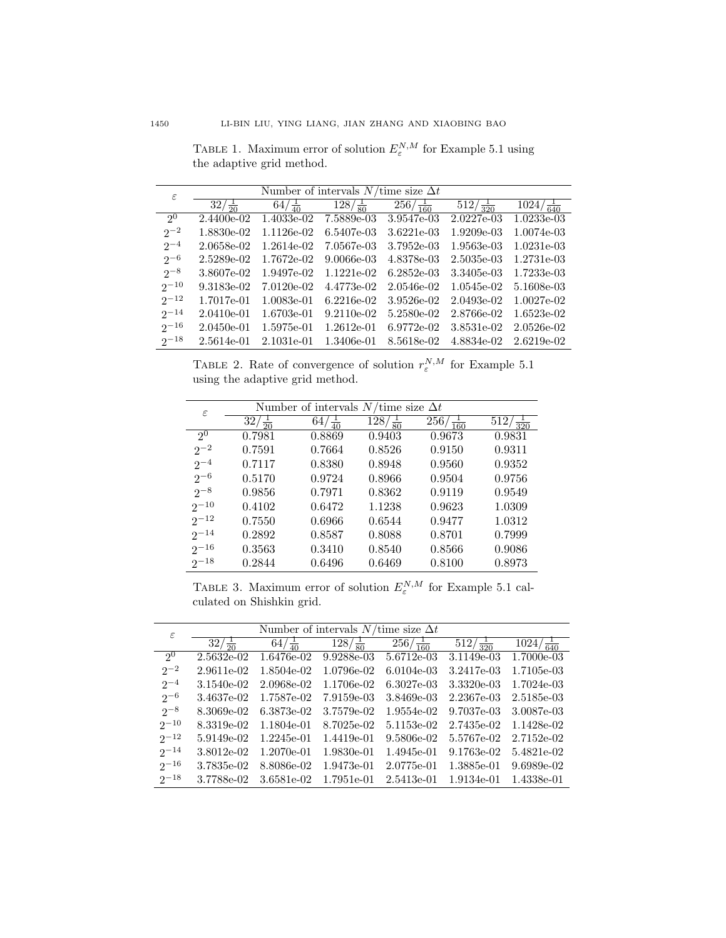TABLE 1. Maximum error of solution  $E_{\varepsilon}^{N,M}$  for Example 5.1 using the adaptive grid method.

| $\epsilon$     | Number of intervals $N$ /time size $\Delta t$ |                   |                    |                     |                     |                    |
|----------------|-----------------------------------------------|-------------------|--------------------|---------------------|---------------------|--------------------|
|                | $32/\frac{1}{20}$                             | $64/\frac{1}{40}$ | $128/\frac{1}{80}$ | $256/\frac{1}{160}$ | $512/\frac{1}{320}$ | $\frac{1024}{640}$ |
| 2 <sup>0</sup> | 2.4400e-02                                    | 1.4033e-02        | 7.5889e-03         | 3.9547e-03          | $2.0227e-03$        | $1.0233e-03$       |
| $2^{-2}$       | 1.8830e-02                                    | 1.1126e-02        | 6.5407e-03         | 3.6221e-03          | 1.9209e-03          | 1.0074e-03         |
| $2^{-4}$       | 2.0658e-02                                    | 1.2614e-02        | 7.0567e-03         | 3.7952e-03          | 1.9563e-03          | $1.0231e-03$       |
| $2^{-6}$       | 2.5289e-02                                    | 1.7672e-02        | $9.0066e-03$       | 4.8378e-03          | 2.5035e-03          | 1.2731e-03         |
| $2^{-8}$       | 3.8607e-02                                    | 1.9497e-02        | 1.1221e-02         | $6.2852e-03$        | 3.3405e-03          | 1.7233e-03         |
| $2^{-10}$      | 9.3183e-02                                    | $7.0120e-02$      | 4.4773e-02         | 2.0546e-02          | $1.0545e-02$        | 5.1608e-03         |
| $2^{-12}$      | 1.7017e-01                                    | 1.0083e-01        | $6.2216e-02$       | 3.9526e-02          | 2.0493e-02          | $1.0027e-02$       |
| $2^{-14}$      | 2.0410e-01                                    | 1.6703e-01        | $9.2110e-02$       | 5.2580e-02          | 2.8766e-02          | 1.6523e-02         |
| $2^{-16}$      | $2.0450e-01$                                  | 1.5975e-01        | $1.2612e-01$       | 6.9772e-02          | 3.8531e-02          | 2.0526e-02         |
| $2^{-18}$      | 2.5614e-01                                    | 2.1031e-01        | 1.3406e-01         | 8.5618e-02          | 4.8834e-02          | 2.6219e-02         |

TABLE 2. Rate of convergence of solution  $r_{\varepsilon}^{N,M}$  for Example 5.1 using the adaptive grid method.

| $\varepsilon$  |                     | Number of intervals $N$ /time size $\Delta t$ |                                 |                                   |                       |
|----------------|---------------------|-----------------------------------------------|---------------------------------|-----------------------------------|-----------------------|
|                | 32/<br>$rac{1}{20}$ | $64/\frac{1}{40}$                             | $\frac{1}{28}$ / $\frac{1}{80}$ | $\frac{1}{256}$ / $\frac{1}{160}$ | 512/<br>$rac{1}{320}$ |
| 2 <sup>0</sup> | 0.7981              | 0.8869                                        | 0.9403                          | 0.9673                            | 0.9831                |
| $2^{-2}$       | 0.7591              | 0.7664                                        | 0.8526                          | 0.9150                            | 0.9311                |
| $2^{-4}$       | 0.7117              | 0.8380                                        | 0.8948                          | 0.9560                            | 0.9352                |
| $2^{-6}$       | 0.5170              | 0.9724                                        | 0.8966                          | 0.9504                            | 0.9756                |
| $2^{-8}$       | 0.9856              | 0.7971                                        | 0.8362                          | 0.9119                            | 0.9549                |
| $2^{-10}$      | 0.4102              | 0.6472                                        | 1.1238                          | 0.9623                            | 1.0309                |
| $2^{-12}$      | 0.7550              | 0.6966                                        | 0.6544                          | 0.9477                            | 1.0312                |
| $2^{-14}$      | 0.2892              | 0.8587                                        | 0.8088                          | 0.8701                            | 0.7999                |
| $2^{-16}$      | 0.3563              | 0.3410                                        | 0.8540                          | 0.8566                            | 0.9086                |
| $2^{-18}$      | 0.2844              | 0.6496                                        | 0.6469                          | 0.8100                            | 0.8973                |

TABLE 3. Maximum error of solution  $E_{\varepsilon}^{N,M}$  for Example 5.1 calculated on Shishkin grid.

| $\varepsilon$  | Number of intervals $N$ /time size $\Delta t$ |                               |                                 |                            |                               |                    |
|----------------|-----------------------------------------------|-------------------------------|---------------------------------|----------------------------|-------------------------------|--------------------|
|                | $\frac{1}{32}$ / $\frac{1}{20}$               | $\frac{1}{64}$ $\frac{1}{40}$ | $\frac{1}{28}$ / $\frac{1}{80}$ | $\sqrt{256/\frac{1}{160}}$ | $\frac{1}{512/\frac{1}{320}}$ | $\frac{1024}{640}$ |
| 2 <sup>0</sup> | 2.5632e-02                                    | 1.6476e-02                    | 9.9288e-03                      | 5.6712e-03                 | 3.1149e-03                    | 1.7000e-03         |
| $2^{-2}$       | 2.9611e-02                                    | 1.8504e-02                    | 1.0796e-02                      | $6.0104e-03$               | 3.2417e-03                    | 1.7105e-03         |
| $2^{-4}$       | 3.1540e-02                                    | 2.0968e-02                    | 1.1706e-02                      | 6.3027e-03                 | 3.3320e-03                    | 1.7024e-03         |
| $2^{-6}$       | 3.4637e-02                                    | 1.7587e-02                    | 7.9159e-03                      | 3.8469e-03                 | 2.2367e-03                    | 2.5185e-03         |
| $2^{-8}$       | 8.3069e-02                                    | 6.3873e-02                    | 3.7579e-02                      | 1.9554e-02                 | 9.7037e-03                    | 3.0087e-03         |
| $2^{-10}$      | 8.3319e-02                                    | 1.1804e-01                    | 8.7025e-02                      | 5.1153e-02                 | 2.7435e-02                    | 1.1428e-02         |
| $2^{-12}$      | 5.9149e-02                                    | $1.2245e-01$                  | 1.4419e-01                      | 9.5806e-02                 | 5.5767e-02                    | 2.7152e-02         |
| $2^{-14}$      | 3.8012e-02                                    | 1.2070e-01                    | 1.9830e-01                      | 1.4945e-01                 | 9.1763e-02                    | 5.4821e-02         |
| $2^{-16}$      | 3.7835e-02                                    | 8.8086e-02                    | 1.9473e-01                      | 2.0775e-01                 | 1.3885e-01                    | 9.6989e-02         |
| $2^{-18}$      | 3.7788e-02                                    | 3.6581e-02                    | 1.7951e-01                      | 2.5413e-01                 | 1.9134e-01                    | 1.4338e-01         |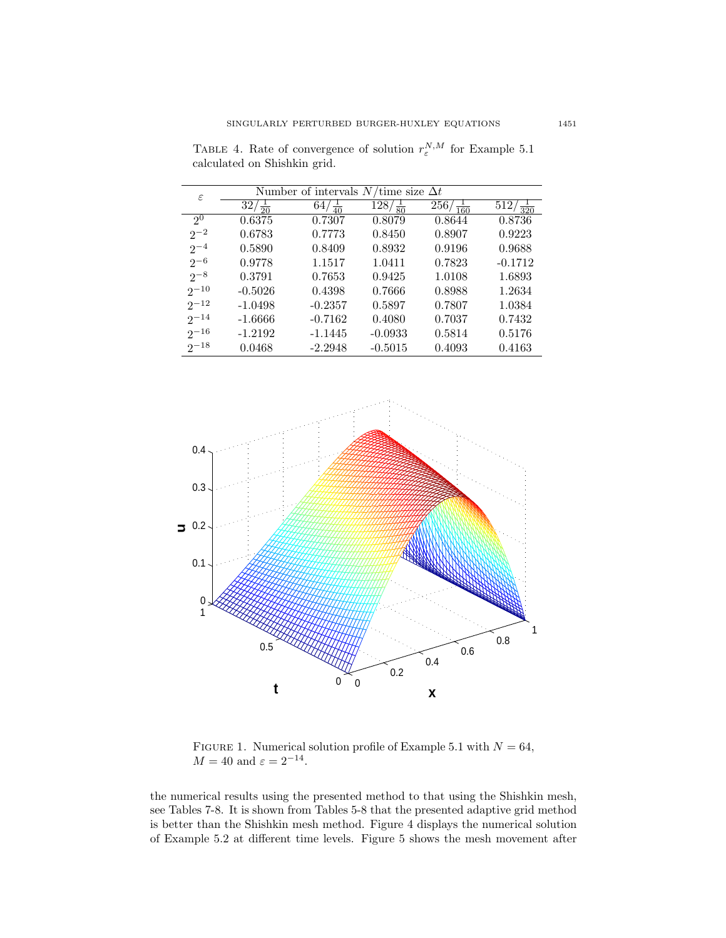| $\varepsilon$  |           | Number of intervals $N$ /time size $\Delta t$ |                           |                                   |                         |
|----------------|-----------|-----------------------------------------------|---------------------------|-----------------------------------|-------------------------|
|                | 32,       | 64<br>$rac{1}{40}$                            | $\sqrt{128}/\frac{1}{80}$ | $\frac{1}{256}$ / $\frac{1}{160}$ | 512/<br>$\frac{1}{320}$ |
| 2 <sup>0</sup> | 0.6375    | 0.7307                                        | 0.8079                    | 0.8644                            | 0.8736                  |
| $2^{-2}$       | 0.6783    | 0.7773                                        | 0.8450                    | 0.8907                            | 0.9223                  |
| $2^{-4}$       | 0.5890    | 0.8409                                        | 0.8932                    | 0.9196                            | 0.9688                  |
| $2^{-6}$       | 0.9778    | 1.1517                                        | 1.0411                    | 0.7823                            | $-0.1712$               |
| $2^{-8}$       | 0.3791    | 0.7653                                        | 0.9425                    | 1.0108                            | 1.6893                  |
| $2^{-10}$      | $-0.5026$ | 0.4398                                        | 0.7666                    | 0.8988                            | 1.2634                  |
| $2^{-12}$      | $-1.0498$ | $-0.2357$                                     | 0.5897                    | 0.7807                            | 1.0384                  |
| $2^{-14}$      | $-1.6666$ | $-0.7162$                                     | 0.4080                    | 0.7037                            | 0.7432                  |
| $2^{-16}$      | $-1.2192$ | $-1.1445$                                     | $-0.0933$                 | 0.5814                            | 0.5176                  |
| $2^{-18}$      | 0.0468    | $-2.2948$                                     | $-0.5015$                 | 0.4093                            | 0.4163                  |

TABLE 4. Rate of convergence of solution  $r_{\varepsilon}^{N,M}$  for Example 5.1 calculated on Shishkin grid.



FIGURE 1. Numerical solution profile of Example 5.1 with  $N = 64$ ,  $M = 40$  and  $\varepsilon = 2^{-14}$ .

the numerical results using the presented method to that using the Shishkin mesh, see Tables 7-8. It is shown from Tables 5-8 that the presented adaptive grid method is better than the Shishkin mesh method. Figure 4 displays the numerical solution of Example 5.2 at different time levels. Figure 5 shows the mesh movement after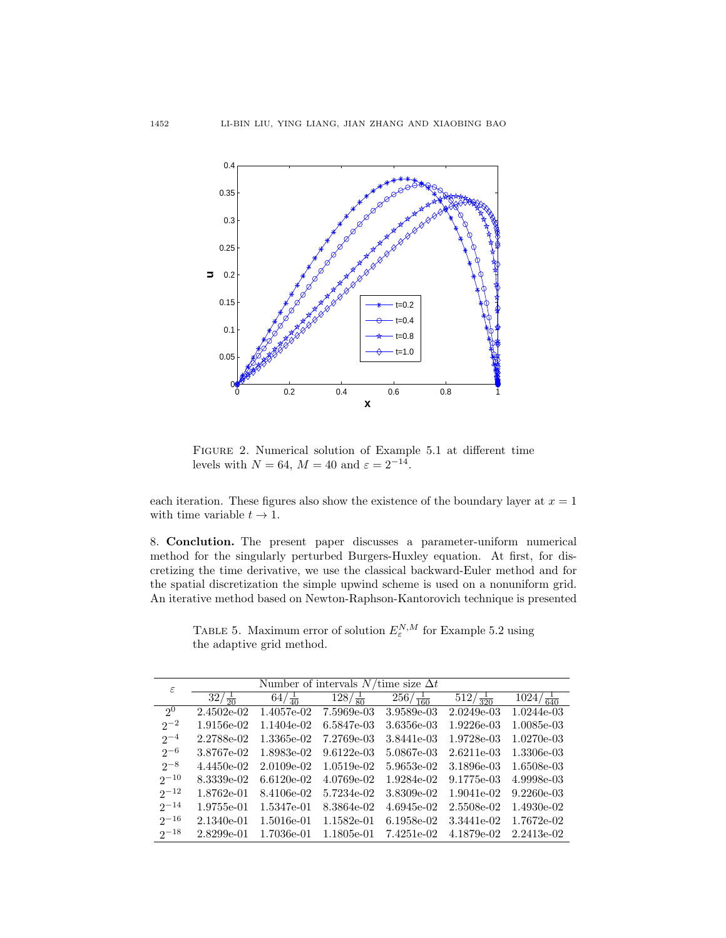

Figure 2. Numerical solution of Example 5.1 at different time levels with  $N = 64$ ,  $M = 40$  and  $\varepsilon = 2^{-14}$ .

each iteration. These figures also show the existence of the boundary layer at  $x = 1$ with time variable  $t \to 1$ .

8. Conclution. The present paper discusses a parameter-uniform numerical method for the singularly perturbed Burgers-Huxley equation. At first, for discretizing the time derivative, we use the classical backward-Euler method and for the spatial discretization the simple upwind scheme is used on a nonuniform grid. An iterative method based on Newton-Raphson-Kantorovich technique is presented

TABLE 5. Maximum error of solution  $E_{\varepsilon}^{N,M}$  for Example 5.2 using the adaptive grid method.

| $\varepsilon$  | Number of intervals $N$ /time size $\Delta t$ |                   |                    |                     |                 |                    |
|----------------|-----------------------------------------------|-------------------|--------------------|---------------------|-----------------|--------------------|
|                | $32/\frac{1}{20}$                             | $64/\frac{1}{40}$ | $128/\frac{1}{80}$ | $256/\frac{1}{160}$ | $\frac{1}{320}$ | $\frac{1024}{640}$ |
| 2 <sup>0</sup> | $2.4502e-02$                                  | 1.4057e-02        | 7.5969e-03         | 3.9589e-03          | $2.0249e-03$    | 1.0244e-03         |
| $2^{-2}$       | 1.9156e-02                                    | 1.1404e-02        | 6.5847e-03         | 3.6356e-03          | $1.9226e-03$    | 1.0085e-03         |
| $2^{-4}$       | 2.2788e-02                                    | 1.3365e-02        | 7.2769e-03         | 3.8441e-03          | 1.9728e-03      | $1.0270e-03$       |
| $2^{-6}$       | 3.8767e-02                                    | 1.8983e-02        | $9.6122e-03$       | 5.0867e-03          | $2.6211e-03$    | 1.3306e-03         |
| $2^{-8}$       | 4.4450e-02                                    | $2.0109e-02$      | $1.0519e-02$       | 5.9653e-02          | 3.1896e-03      | 1.6508e-03         |
| $2^{-10}$      | 8.3339e-02                                    | $6.6120e-02$      | 4.0769e-02         | 1.9284e-02          | 9.1775e-03      | 4.9998e-03         |
| $2^{-12}$      | 1.8762e-01                                    | 8.4106e-02        | 5.7234e-02         | 3.8309e-02          | $1.9041e-02$    | $9.2260e-03$       |
| $2^{-14}$      | 1.9755e-01                                    | 1.5347e-01        | 8.3864e-02         | 4.6945e-02          | 2.5508e-02      | 1.4930e-02         |
| $2^{-16}$      | 2.1340e-01                                    | 1.5016e-01        | 1.1582e-01         | 6.1958e-02          | 3.3441e-02      | 1.7672e-02         |
| $2^{-18}$      | 2.8299e-01                                    | 1.7036e-01        | 1.1805e-01         | 7.4251e-02          | 4.1879e-02      | 2.2413e-02         |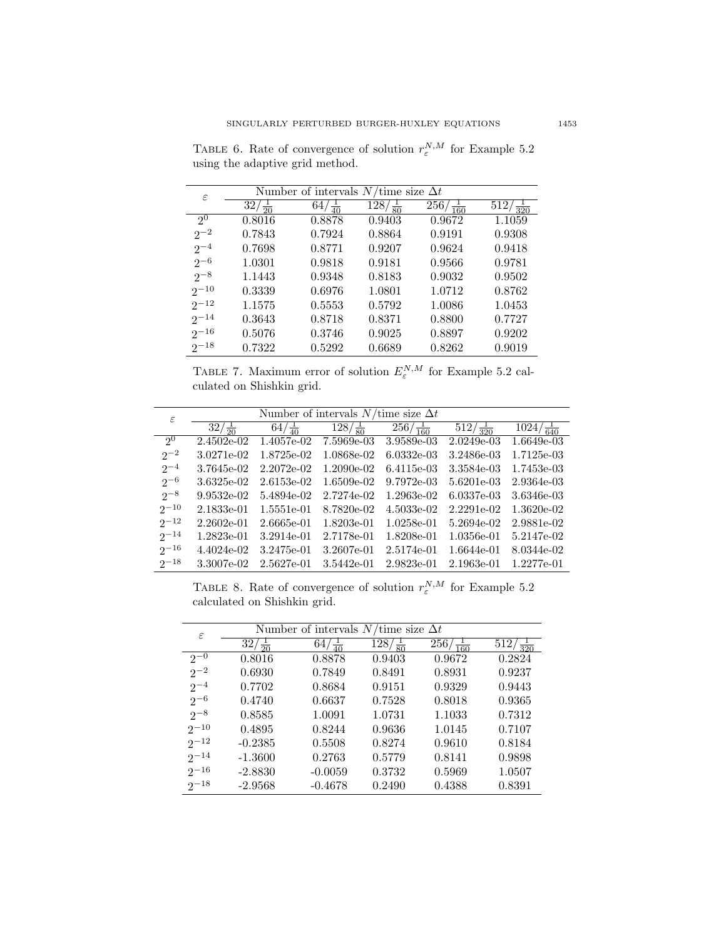ε Number of intervals  $N/\text{time size } \Delta t$  $\overline{2^0}$  $32/\frac{1}{20}$  $\frac{32/\frac{1}{20}}{0.8016}$   $\frac{64/\frac{1}{40}}{0.8878}$  $\frac{128}{\frac{80}{60}}$ <br>0.9403  $\frac{1}{80}$  256/ $\frac{1}{16}$  $\frac{1}{160}$  512/ $\frac{1}{320}$  $2^{-2}$ 0.8016 0.8878 0.9403 0.9672 1.1059  $2^{-4}$  $0.7843 \qquad \quad 0.7924 \qquad \quad 0.8864 \qquad \quad 0.9191 \qquad \quad 0.9308$  $2^{-6}$ 0.7698 0.8771 0.9207 0.9624 0.9418  $2^{-8}$ 1.0301 0.9818 0.9181 0.9566 0.9781  $2^{-10}$ 1.1443 0.9348 0.8183 0.9032 0.9502  $2^{-12}$  $0.3339 \qquad \quad 0.6976 \qquad \quad 1.0801 \qquad \quad 1.0712 \qquad \quad 0.8762$  $2^{-14}$ 1.1575 0.5553 0.5792 1.0086 1.0453  $2^{-16}$ 0.3643 0.8718 0.8371 0.8800 0.7727  $2^{-18}$ 0.5076 0.3746 0.9025 0.8897 0.9202  $0.7322 \qquad \quad 0.5292 \qquad \quad 0.6689 \qquad \quad 0.8262 \qquad \quad 0.9019$ 

TABLE 6. Rate of convergence of solution  $r_{\varepsilon}^{N,M}$  for Example 5.2 using the adaptive grid method.

TABLE 7. Maximum error of solution  $E_{\varepsilon}^{N,M}$  for Example 5.2 calculated on Shishkin grid.

| $\varepsilon$  | Number of intervals $N$ /time size $\Delta t$ |                   |                    |                     |                     |                      |
|----------------|-----------------------------------------------|-------------------|--------------------|---------------------|---------------------|----------------------|
|                | $32/\frac{1}{20}$                             | $64/\frac{1}{40}$ | $128/\frac{1}{80}$ | $256/\frac{1}{160}$ | $512/\frac{1}{320}$ | $1024/\frac{1}{640}$ |
| 2 <sup>0</sup> | $2.4502e-02$                                  | 1.4057e-02        | 7.5969e-03         | 3.9589e-03          | 2.0249e-03          | 1.6649e-03           |
| $2^{-2}$       | 3.0271e-02                                    | 1.8725e-02        | 1.0868e-02         | $6.0332e-03$        | 3.2486e-03          | 1.7125e-03           |
| $2^{-4}$       | 3.7645e-02                                    | $2.2072e-02$      | 1.2090e-02         | 6.4115e-03          | 3.3584e-03          | 1.7453e-03           |
| $2^{-6}$       | 3.6325e-02                                    | 2.6153e-02        | 1.6509e-02         | 9.7972e-03          | 5.6201e-03          | 2.9364e-03           |
| $2^{-8}$       | $9.9532e-02$                                  | 5.4894e-02        | 2.7274e-02         | 1.2963e-02          | 6.0337e-03          | 3.6346e-03           |
| $2^{-10}$      | 2.1833e-01                                    | 1.5551e-01        | 8.7820e-02         | $4.5033e-02$        | 2.2291e-02          | 1.3620e-02           |
| $2^{-12}$      | $2.2602e-01$                                  | 2.6665e-01        | 1.8203e-01         | 1.0258e-01          | 5.2694e-02          | 2.9881e-02           |
| $2^{-14}$      | 1.2823e-01                                    | 3.2914e-01        | 2.7178e-01         | 1.8208e-01          | 1.0356e-01          | 5.2147e-02           |
| $2^{-16}$      | 4.4024e-02                                    | 3.2475e-01        | 3.2607e-01         | 2.5174e-01          | 1.6644e-01          | 8.0344e-02           |
| $2^{-18}$      | 3.3007e-02                                    | 2.5627e-01        | 3.5442e-01         | 2.9823e-01          | 2.1963e-01          | 1.2277e-01           |

TABLE 8. Rate of convergence of solution  $r_{\varepsilon}^{N,M}$  for Example 5.2 calculated on Shishkin grid.

| $\varepsilon$ |                     | Number of intervals $N$ /time size $\Delta t$ |                                 |                            |                                   |
|---------------|---------------------|-----------------------------------------------|---------------------------------|----------------------------|-----------------------------------|
|               | 32/<br>$rac{1}{20}$ | $64/\frac{1}{40}$                             | $\frac{1}{28}$ / $\frac{1}{80}$ | $\sqrt{256}/\frac{1}{160}$ | $\frac{1}{312}$ / $\frac{1}{320}$ |
| $2^{-0}$      | 0.8016              | 0.8878                                        | 0.9403                          | 0.9672                     | 0.2824                            |
| $2^{-2}$      | 0.6930              | 0.7849                                        | 0.8491                          | 0.8931                     | 0.9237                            |
| $2^{-4}$      | 0.7702              | 0.8684                                        | 0.9151                          | 0.9329                     | 0.9443                            |
| $2^{-6}$      | 0.4740              | 0.6637                                        | 0.7528                          | 0.8018                     | 0.9365                            |
| $2^{-8}$      | 0.8585              | 1.0091                                        | 1.0731                          | 1.1033                     | 0.7312                            |
| $2^{-10}$     | 0.4895              | 0.8244                                        | 0.9636                          | 1.0145                     | 0.7107                            |
| $2^{-12}$     | $-0.2385$           | 0.5508                                        | 0.8274                          | 0.9610                     | 0.8184                            |
| $2^{-14}$     | $-1.3600$           | 0.2763                                        | 0.5779                          | 0.8141                     | 0.9898                            |
| $2^{-16}$     | $-2.8830$           | $-0.0059$                                     | 0.3732                          | 0.5969                     | 1.0507                            |
| $2^{-18}$     | $-2.9568$           | $-0.4678$                                     | 0.2490                          | 0.4388                     | 0.8391                            |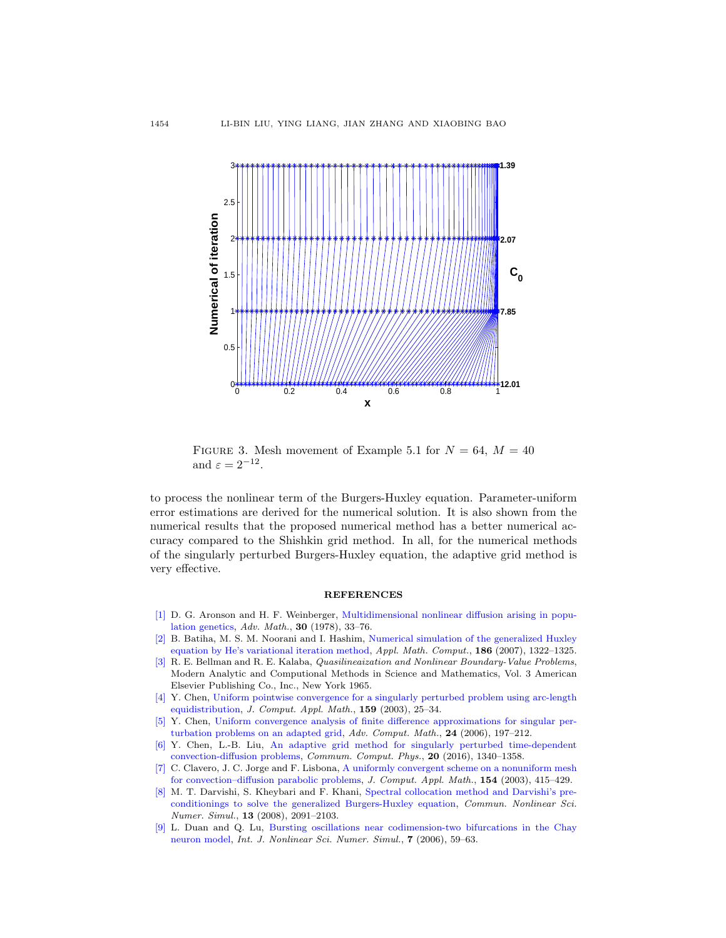

FIGURE 3. Mesh movement of Example 5.1 for  $N = 64$ ,  $M = 40$ and  $\varepsilon = 2^{-12}$ .

to process the nonlinear term of the Burgers-Huxley equation. Parameter-uniform error estimations are derived for the numerical solution. It is also shown from the numerical results that the proposed numerical method has a better numerical accuracy compared to the Shishkin grid method. In all, for the numerical methods of the singularly perturbed Burgers-Huxley equation, the adaptive grid method is very effective.

#### **REFERENCES**

- <span id="page-15-1"></span>[\[1\]](http://www.ams.org/mathscinet-getitem?mr=MR511740&return=pdf) D. G. Aronson and H. F. Weinberger, [Multidimensional nonlinear diffusion arising in popu](http://dx.doi.org/10.1016/0001-8708(78)90130-5)[lation genetics,](http://dx.doi.org/10.1016/0001-8708(78)90130-5) Adv. Math., 30 (1978), 33–76.
- <span id="page-15-2"></span>[\[2\]](http://www.ams.org/mathscinet-getitem?mr=MR2316751&return=pdf) B. Batiha, M. S. M. Noorani and I. Hashim, [Numerical simulation of the generalized Huxley](http://dx.doi.org/10.1016/j.amc.2006.07.166) [equation by He's variational iteration method,](http://dx.doi.org/10.1016/j.amc.2006.07.166) Appl. Math. Comput., 186 (2007), 1322–1325.
- <span id="page-15-5"></span>[\[3\]](http://www.ams.org/mathscinet-getitem?mr=MR0178571&return=pdf) R. E. Bellman and R. E. Kalaba, Quasilineaization and Nonlinear Boundary-Value Problems, Modern Analytic and Computional Methods in Science and Mathematics, Vol. 3 American Elsevier Publishing Co., Inc., New York 1965.
- <span id="page-15-6"></span>[\[4\]](http://www.ams.org/mathscinet-getitem?mr=MR2022312&return=pdf) Y. Chen, [Uniform pointwise convergence for a singularly perturbed problem using arc-length](http://dx.doi.org/10.1016/S0377-0427(03)00563-6) [equidistribution,](http://dx.doi.org/10.1016/S0377-0427(03)00563-6) J. Comput. Appl. Math., 159 (2003), 25–34.
- <span id="page-15-7"></span>[\[5\]](http://www.ams.org/mathscinet-getitem?mr=MR2222268&return=pdf) Y. Chen, [Uniform convergence analysis of finite difference approximations for singular per](http://dx.doi.org/10.1007/s10444-004-7641-0)[turbation problems on an adapted grid,](http://dx.doi.org/10.1007/s10444-004-7641-0) Adv. Comput. Math., 24 (2006), 197–212.
- <span id="page-15-8"></span>[\[6\]](http://www.ams.org/mathscinet-getitem?mr=MR3611797&return=pdf) Y. Chen, L.-B. Liu, [An adaptive grid method for singularly perturbed time-dependent](http://dx.doi.org/10.4208/cicp.240315.301215a) [convection-diffusion problems,](http://dx.doi.org/10.4208/cicp.240315.301215a) Commum. Comput. Phys., 20 (2016), 1340–1358.
- <span id="page-15-4"></span>[\[7\]](http://www.ams.org/mathscinet-getitem?mr=MR1983397&return=pdf) C. Clavero, J. C. Jorge and F. Lisbona, [A uniformly convergent scheme on a nonuniform mesh](http://dx.doi.org/10.1016/S0377-0427(02)00861-0) [for convection–diffusion parabolic problems,](http://dx.doi.org/10.1016/S0377-0427(02)00861-0) J. Comput. Appl. Math., 154 (2003), 415–429.
- <span id="page-15-3"></span>[\[8\]](http://www.ams.org/mathscinet-getitem?mr=MR2417579&return=pdf) M. T. Darvishi, S. Kheybari and F. Khani, [Spectral collocation method and Darvishi's pre](http://dx.doi.org/10.1016/j.cnsns.2007.05.023)[conditionings to solve the generalized Burgers-Huxley equation,](http://dx.doi.org/10.1016/j.cnsns.2007.05.023) Commun. Nonlinear Sci. Numer. Simul., 13 (2008), 2091–2103.
- <span id="page-15-0"></span>[\[9\]](http://www.ams.org/mathscinet-getitem?mr=MR3110332&return=pdf) L. Duan and Q. Lu, [Bursting oscillations near codimension-two bifurcations in the Chay](http://dx.doi.org/10.1515/IJNSNS.2006.7.1.59) [neuron model,](http://dx.doi.org/10.1515/IJNSNS.2006.7.1.59) Int. J. Nonlinear Sci. Numer. Simul., 7 (2006), 59–63.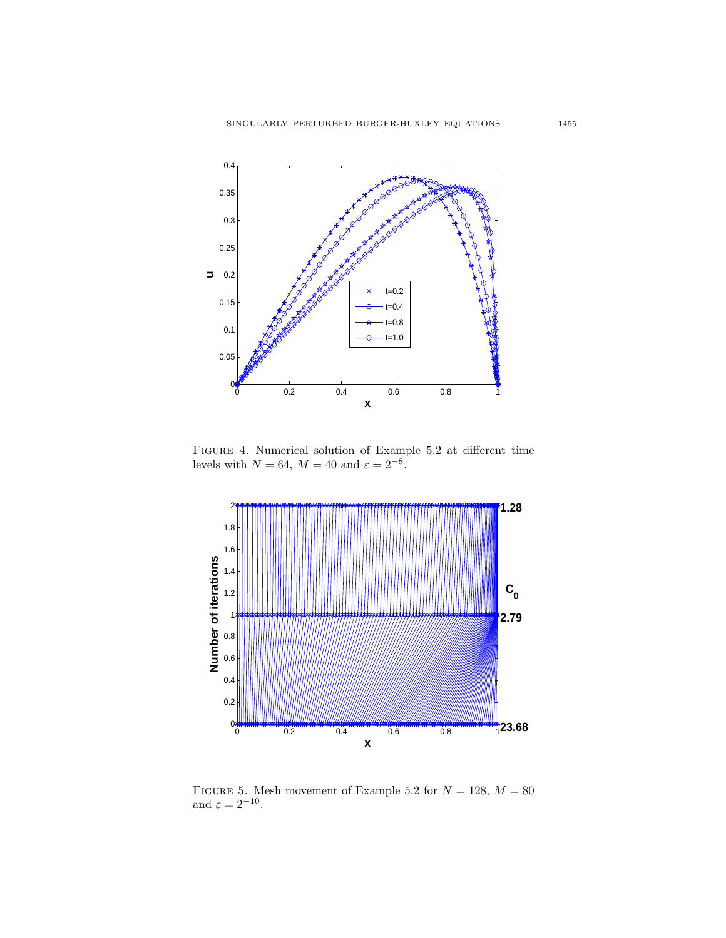

Figure 4. Numerical solution of Example 5.2 at different time levels with  $N = 64$ ,  $M = 40$  and  $\varepsilon = 2^{-8}$ .



FIGURE 5. Mesh movement of Example 5.2 for  $N = 128$ ,  $M = 80$ and  $\varepsilon = 2^{-10}$ .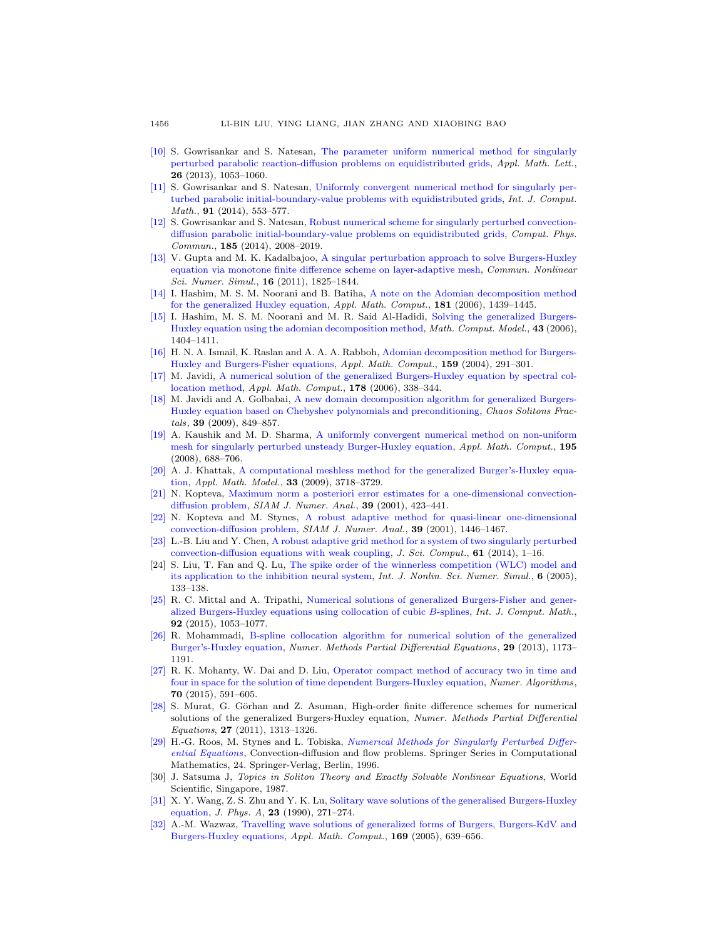- <span id="page-17-19"></span>[\[10\]](http://www.ams.org/mathscinet-getitem?mr=MR3089564&return=pdf) S. Gowrisankar and S. Natesan, [The parameter uniform numerical method for singularly](http://dx.doi.org/10.1016/j.aml.2013.05.017) [perturbed parabolic reaction-diffusion problems on equidistributed grids,](http://dx.doi.org/10.1016/j.aml.2013.05.017) Appl. Math. Lett., 26 (2013), 1053–1060.
- <span id="page-17-20"></span>[\[11\]](http://www.ams.org/mathscinet-getitem?mr=MR3217588&return=pdf) S. Gowrisankar and S. Natesan, [Uniformly convergent numerical method for singularly per](http://dx.doi.org/10.1080/00207160.2013.792925)[turbed parabolic initial-boundary-value problems with equidistributed grids,](http://dx.doi.org/10.1080/00207160.2013.792925) Int. J. Comput. Math., **91** (2014), 553-577.
- <span id="page-17-21"></span>[\[12\]](http://www.ams.org/mathscinet-getitem?mr=MR3209560&return=pdf) S. Gowrisankar and S. Natesan, [Robust numerical scheme for singularly perturbed convection](http://dx.doi.org/10.1016/j.cpc.2014.04.004)[diffusion parabolic initial-boundary-value problems on equidistributed grids,](http://dx.doi.org/10.1016/j.cpc.2014.04.004) Comput. Phys. Commun., 185 (2014), 2008–2019.
- <span id="page-17-15"></span>[\[13\]](http://www.ams.org/mathscinet-getitem?mr=MR2736051&return=pdf) V. Gupta and M. K. Kadalbajoo, [A singular perturbation approach to solve Burgers-Huxley](http://dx.doi.org/10.1016/j.cnsns.2010.07.020) [equation via monotone finite difference scheme on layer-adaptive mesh,](http://dx.doi.org/10.1016/j.cnsns.2010.07.020) Commun. Nonlinear Sci. Numer. Simul., 16 (2011), 1825–1844.
- <span id="page-17-5"></span>[\[14\]](http://www.ams.org/mathscinet-getitem?mr=MR2270775&return=pdf) I. Hashim, M. S. M. Noorani and B. Batiha, [A note on the Adomian decomposition method](http://dx.doi.org/10.1016/j.amc.2006.03.011) [for the generalized Huxley equation,](http://dx.doi.org/10.1016/j.amc.2006.03.011) Appl. Math. Comput., 181 (2006), 1439–1445.
- <span id="page-17-4"></span>[\[15\]](http://www.ams.org/mathscinet-getitem?mr=MR2228558&return=pdf) I. Hashim, M. S. M. Noorani and M. R. Said Al-Hadidi, [Solving the generalized Burgers-](http://dx.doi.org/10.1016/j.mcm.2005.08.017)[Huxley equation using the adomian decomposition method,](http://dx.doi.org/10.1016/j.mcm.2005.08.017) Math. Comput. Model., 43 (2006), 1404–1411.
- <span id="page-17-6"></span>[\[16\]](http://www.ams.org/mathscinet-getitem?mr=MR2094972&return=pdf) H. N. A. Ismail, K. Raslan and A. A. A. Rabboh, [Adomian decomposition method for Burgers-](http://dx.doi.org/10.1016/j.amc.2003.10.050)[Huxley and Burgers-Fisher equations,](http://dx.doi.org/10.1016/j.amc.2003.10.050) Appl. Math. Comput., 159 (2004), 291–301.
- <span id="page-17-9"></span>[\[17\]](http://www.ams.org/mathscinet-getitem?mr=MR2248493&return=pdf) M. Javidi, [A numerical solution of the generalized Burgers-Huxley equation by spectral col](http://dx.doi.org/10.1016/j.amc.2005.11.051)[location method,](http://dx.doi.org/10.1016/j.amc.2005.11.051) *Appl. Math. Comput.*, **178** (2006), 338-344.
- <span id="page-17-10"></span>[\[18\]](http://www.ams.org/mathscinet-getitem?mr=MR2518924&return=pdf) M. Javidi and A. Golbabai, [A new domain decomposition algorithm for generalized Burgers-](http://dx.doi.org/10.1016/j.chaos.2007.01.099)[Huxley equation based on Chebyshev polynomials and preconditioning,](http://dx.doi.org/10.1016/j.chaos.2007.01.099) Chaos Solitons Fractals, 39 (2009), 849–857.
- <span id="page-17-14"></span>[\[19\]](http://www.ams.org/mathscinet-getitem?mr=MR2381249&return=pdf) A. Kaushik and M. D. Sharma, [A uniformly convergent numerical method on non-uniform](http://dx.doi.org/10.1016/j.amc.2007.05.067) [mesh for singularly perturbed unsteady Burger-Huxley equation,](http://dx.doi.org/10.1016/j.amc.2007.05.067) Appl. Math. Comput., 195 (2008), 688–706.
- <span id="page-17-12"></span>[\[20\]](http://www.ams.org/mathscinet-getitem?mr=MR2519121&return=pdf) A. J. Khattak, [A computational meshless method for the generalized Burger's-Huxley equa](http://dx.doi.org/10.1016/j.apm.2008.12.010)[tion,](http://dx.doi.org/10.1016/j.apm.2008.12.010) Appl. Math. Model., 33 (2009), 3718–3729.
- <span id="page-17-17"></span>[\[21\]](http://www.ams.org/mathscinet-getitem?mr=MR1860270&return=pdf) N. Kopteva, [Maximum norm a posteriori error estimates for a one-dimensional convection](http://dx.doi.org/10.1137/S0036142900368642)[diffusion problem,](http://dx.doi.org/10.1137/S0036142900368642) SIAM J. Numer. Anal., 39 (2001), 423-441.
- <span id="page-17-18"></span>[\[22\]](http://www.ams.org/mathscinet-getitem?mr=MR1870850&return=pdf) N. Kopteva and M. Stynes, [A robust adaptive method for quasi-linear one-dimensional](http://dx.doi.org/10.1137/S003614290138471X) [convection-diffusion problem,](http://dx.doi.org/10.1137/S003614290138471X) SIAM J. Numer. Anal., 39 (2001), 1446–1467.
- <span id="page-17-22"></span>[\[23\]](http://www.ams.org/mathscinet-getitem?mr=MR3254364&return=pdf) L.-B. Liu and Y. Chen, [A robust adaptive grid method for a system of two singularly perturbed](http://dx.doi.org/10.1007/s10915-013-9814-9) [convection-diffusion equations with weak coupling,](http://dx.doi.org/10.1007/s10915-013-9814-9) J. Sci. Comput., 61 (2014), 1–16.
- <span id="page-17-0"></span>[24] S. Liu, T. Fan and Q. Lu, [The spike order of the winnerless competition \(WLC\) model and](http://dx.doi.org/10.1515/IJNSNS.2005.6.2.133) [its application to the inhibition neural system,](http://dx.doi.org/10.1515/IJNSNS.2005.6.2.133) Int. J. Nonlin. Sci. Numer. Simul., 6 (2005), 133–138.
- <span id="page-17-13"></span>[\[25\]](http://www.ams.org/mathscinet-getitem?mr=MR3306134&return=pdf) R. C. Mittal and A. Tripathi, [Numerical solutions of generalized Burgers-Fisher and gener](http://dx.doi.org/10.1080/00207160.2014.920834)[alized Burgers-Huxley equations using collocation of cubic](http://dx.doi.org/10.1080/00207160.2014.920834) B-splines, Int. J. Comput. Math., 92 (2015), 1053–1077.
- <span id="page-17-11"></span>[\[26\]](http://www.ams.org/mathscinet-getitem?mr=MR3053862&return=pdf) R. Mohammadi, [B-spline collocation algorithm for numerical solution of the generalized](http://dx.doi.org/10.1002/num.21750) [Burger's-Huxley equation,](http://dx.doi.org/10.1002/num.21750) Numer. Methods Partial Differential Equations, 29 (2013), 1173– 1191.
- <span id="page-17-7"></span>[\[27\]](http://www.ams.org/mathscinet-getitem?mr=MR3415087&return=pdf) R. K. Mohanty, W. Dai and D. Liu, [Operator compact method of accuracy two in time and](http://dx.doi.org/10.1007/s11075-015-9963-z) [four in space for the solution of time dependent Burgers-Huxley equation,](http://dx.doi.org/10.1007/s11075-015-9963-z) Numer. Algorithms, 70 (2015), 591–605.
- <span id="page-17-8"></span>[\[28\]](http://www.ams.org/mathscinet-getitem?mr=MR2833940&return=pdf) S. Murat, G. Görhan and Z. Asuman, High-order finite difference schemes for numerical solutions of the generalized Burgers-Huxley equation, Numer. Methods Partial Differential Equations, 27 (2011), 1313–1326.
- <span id="page-17-16"></span>[\[29\]](http://www.ams.org/mathscinet-getitem?mr=MR1477665&return=pdf) H.-G. Roos, M. Stynes and L. Tobiska, [Numerical Methods for Singularly Perturbed Differ](http://dx.doi.org/10.1007/978-3-662-03206-0)[ential Equations](http://dx.doi.org/10.1007/978-3-662-03206-0), Convection-diffusion and flow problems. Springer Series in Computational Mathematics, 24. Springer-Verlag, Berlin, 1996.
- <span id="page-17-1"></span>[30] J. Satsuma J, Topics in Soliton Theory and Exactly Solvable Nonlinear Equations, World Scientific, Singapore, 1987.
- <span id="page-17-2"></span>[\[31\]](http://www.ams.org/mathscinet-getitem?mr=MR1033403&return=pdf) X. Y. Wang, Z. S. Zhu and Y. K. Lu, [Solitary wave solutions of the generalised Burgers-Huxley](http://dx.doi.org/10.1088/0305-4470/23/3/011) [equation,](http://dx.doi.org/10.1088/0305-4470/23/3/011) J. Phys. A, 23 (1990), 271–274.
- <span id="page-17-3"></span>[\[32\]](http://www.ams.org/mathscinet-getitem?mr=MR2171174&return=pdf) A.-M. Wazwaz, [Travelling wave solutions of generalized forms of Burgers, Burgers-KdV and](http://dx.doi.org/10.1016/j.amc.2004.09.081) [Burgers-Huxley equations,](http://dx.doi.org/10.1016/j.amc.2004.09.081) Appl. Math. Comput., 169 (2005), 639–656.